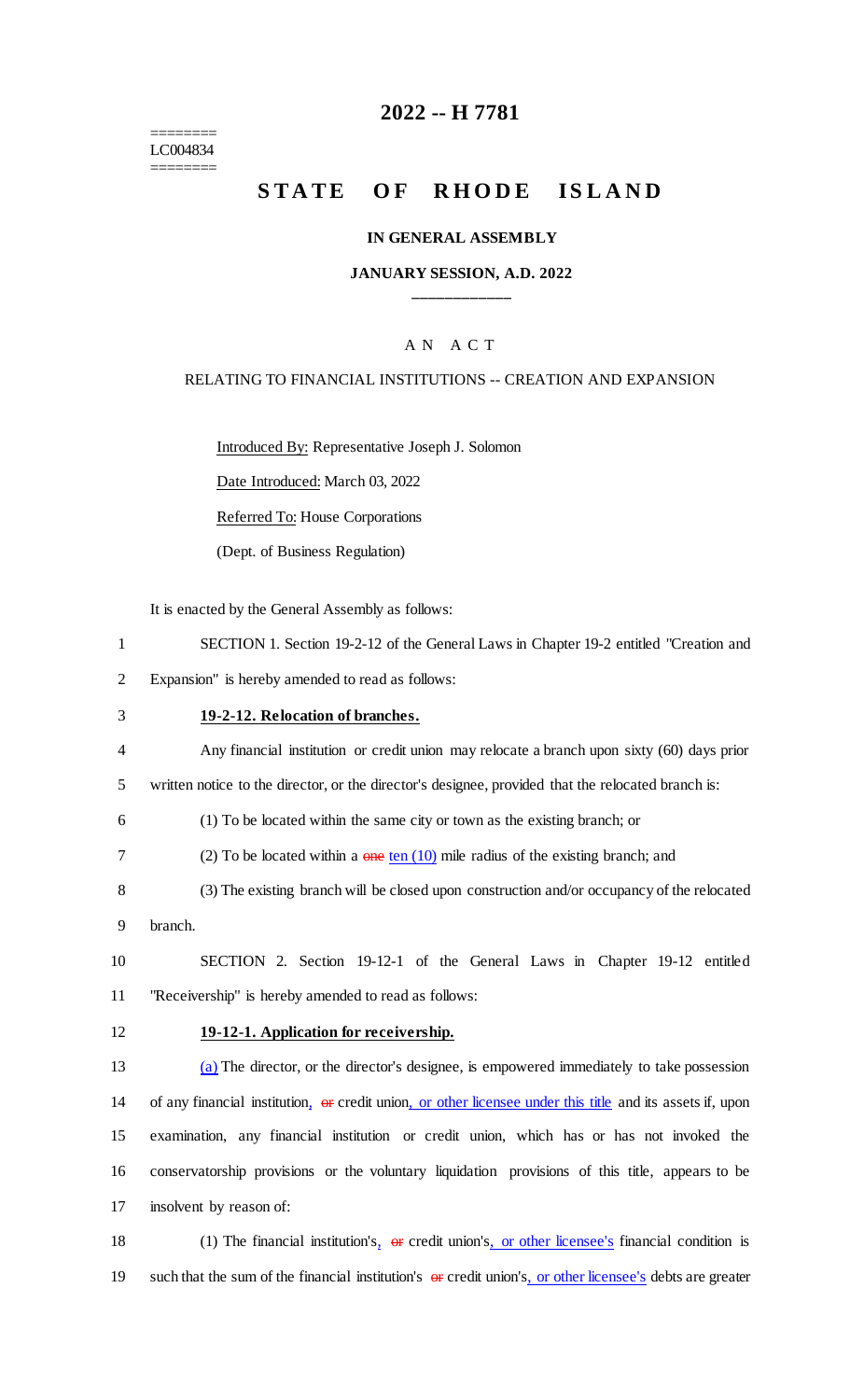======== LC004834 ========

## **2022 -- H 7781**

## **STATE OF RHODE ISLAND**

### **IN GENERAL ASSEMBLY**

### **JANUARY SESSION, A.D. 2022 \_\_\_\_\_\_\_\_\_\_\_\_**

### A N A C T

### RELATING TO FINANCIAL INSTITUTIONS -- CREATION AND EXPANSION

Introduced By: Representative Joseph J. Solomon

Date Introduced: March 03, 2022

Referred To: House Corporations

(Dept. of Business Regulation)

It is enacted by the General Assembly as follows:

1 SECTION 1. Section 19-2-12 of the General Laws in Chapter 19-2 entitled "Creation and

2 Expansion" is hereby amended to read as follows:

### 3 **19-2-12. Relocation of branches.**

4 Any financial institution or credit union may relocate a branch upon sixty (60) days prior

5 written notice to the director, or the director's designee, provided that the relocated branch is:

6 (1) To be located within the same city or town as the existing branch; or

- 7 (2) To be located within a  $\theta$  one ten (10) mile radius of the existing branch; and
- 8 (3) The existing branch will be closed upon construction and/or occupancy of the relocated
- 9 branch.

10 SECTION 2. Section 19-12-1 of the General Laws in Chapter 19-12 entitled 11 "Receivership" is hereby amended to read as follows:

### 12 **19-12-1. Application for receivership.**

 (a) The director, or the director's designee, is empowered immediately to take possession 14 of any financial institution, or credit union, or other licensee under this title and its assets if, upon examination, any financial institution or credit union, which has or has not invoked the conservatorship provisions or the voluntary liquidation provisions of this title, appears to be insolvent by reason of:

18 (1) The financial institution's, or credit union's, or other licensee's financial condition is 19 such that the sum of the financial institution's  $\theta$  credit union's, or other licensee's debts are greater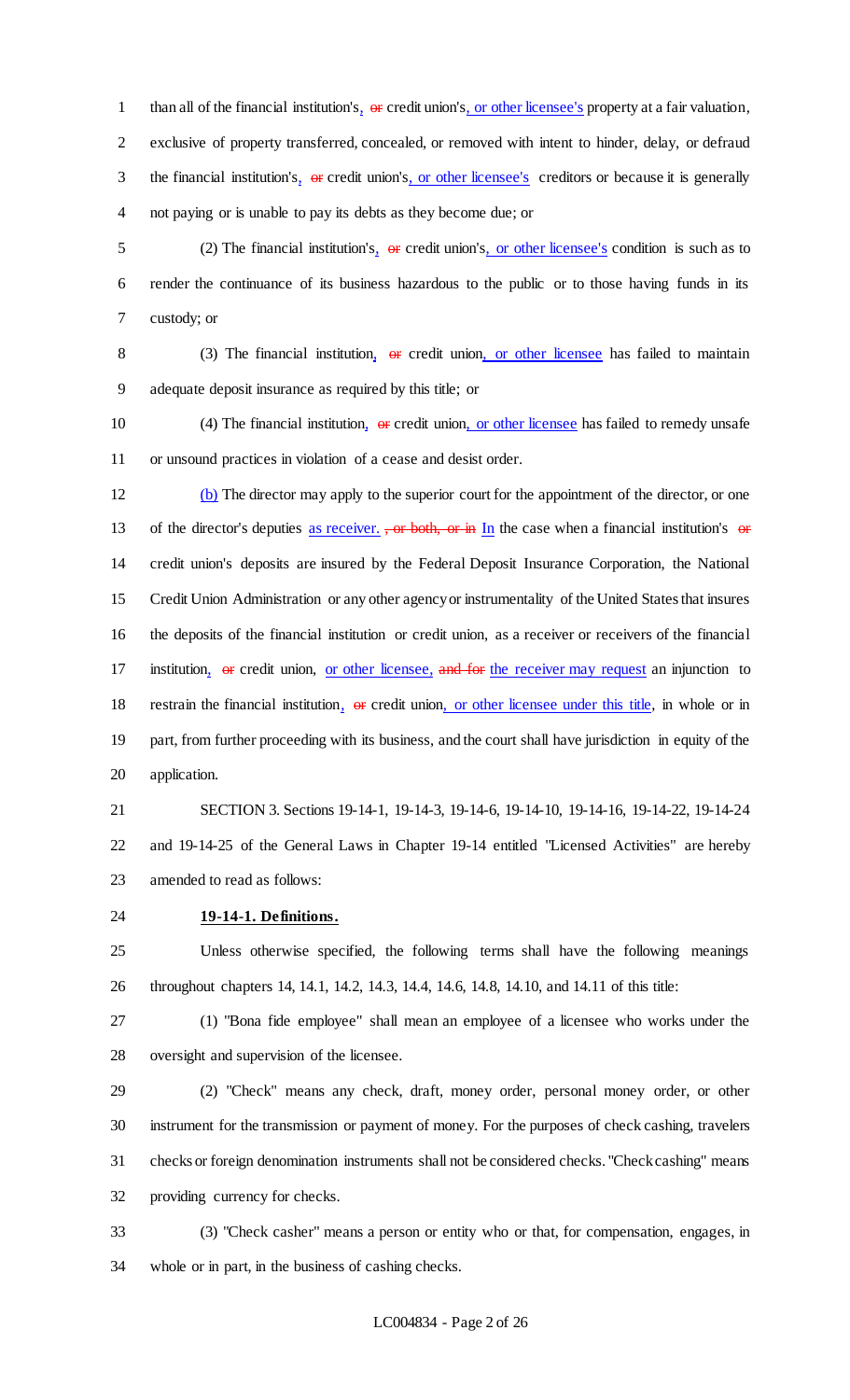1 than all of the financial institution's,  $\Theta$  credit union's, or other licensee's property at a fair valuation, exclusive of property transferred, concealed, or removed with intent to hinder, delay, or defraud 3 the financial institution's, or credit union's, or other licensee's creditors or because it is generally not paying or is unable to pay its debts as they become due; or

5 (2) The financial institution's,  $\Theta$  credit union's, or other licensee's condition is such as to render the continuance of its business hazardous to the public or to those having funds in its custody; or

8 (3) The financial institution, or credit union, or other licensee has failed to maintain adequate deposit insurance as required by this title; or

10 (4) The financial institution,  $\Theta$  credit union, or other licensee has failed to remedy unsafe or unsound practices in violation of a cease and desist order.

 (b) The director may apply to the superior court for the appointment of the director, or one 13 of the director's deputies as receiver.  $\frac{1}{2}$  or both, or in In the case when a financial institution's or credit union's deposits are insured by the Federal Deposit Insurance Corporation, the National Credit Union Administration or any other agency or instrumentality of the United States that insures the deposits of the financial institution or credit union, as a receiver or receivers of the financial 17 institution, or credit union, or other licensee, and for the receiver may request an injunction to 18 restrain the financial institution,  $\theta$  credit union, or other licensee under this title, in whole or in part, from further proceeding with its business, and the court shall have jurisdiction in equity of the application.

 SECTION 3. Sections 19-14-1, 19-14-3, 19-14-6, 19-14-10, 19-14-16, 19-14-22, 19-14-24 and 19-14-25 of the General Laws in Chapter 19-14 entitled "Licensed Activities" are hereby amended to read as follows:

**19-14-1. Definitions.**

 Unless otherwise specified, the following terms shall have the following meanings throughout chapters 14, 14.1, 14.2, 14.3, 14.4, 14.6, 14.8, 14.10, and 14.11 of this title:

 (1) "Bona fide employee" shall mean an employee of a licensee who works under the oversight and supervision of the licensee.

 (2) "Check" means any check, draft, money order, personal money order, or other instrument for the transmission or payment of money. For the purposes of check cashing, travelers checks or foreign denomination instruments shall not be considered checks. "Check cashing" means providing currency for checks.

 (3) "Check casher" means a person or entity who or that, for compensation, engages, in whole or in part, in the business of cashing checks.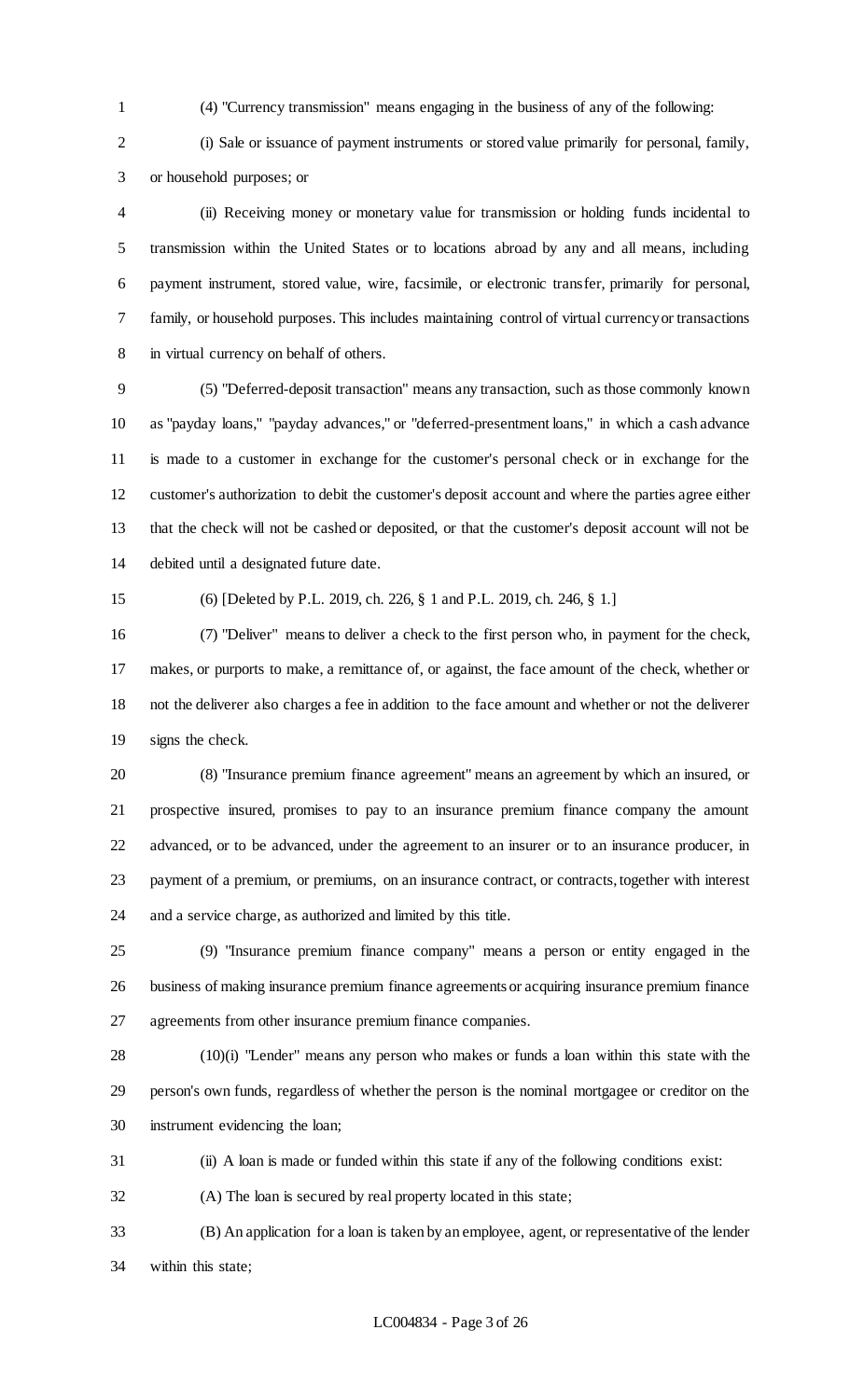(4) "Currency transmission" means engaging in the business of any of the following:

 (i) Sale or issuance of payment instruments or stored value primarily for personal, family, or household purposes; or

 (ii) Receiving money or monetary value for transmission or holding funds incidental to transmission within the United States or to locations abroad by any and all means, including payment instrument, stored value, wire, facsimile, or electronic transfer, primarily for personal, family, or household purposes. This includes maintaining control of virtual currency or transactions in virtual currency on behalf of others.

 (5) "Deferred-deposit transaction" means any transaction, such as those commonly known as "payday loans," "payday advances," or "deferred-presentment loans," in which a cash advance is made to a customer in exchange for the customer's personal check or in exchange for the customer's authorization to debit the customer's deposit account and where the parties agree either that the check will not be cashed or deposited, or that the customer's deposit account will not be debited until a designated future date.

(6) [Deleted by P.L. 2019, ch. 226, § 1 and P.L. 2019, ch. 246, § 1.]

 (7) "Deliver" means to deliver a check to the first person who, in payment for the check, makes, or purports to make, a remittance of, or against, the face amount of the check, whether or not the deliverer also charges a fee in addition to the face amount and whether or not the deliverer signs the check.

 (8) "Insurance premium finance agreement" means an agreement by which an insured, or prospective insured, promises to pay to an insurance premium finance company the amount advanced, or to be advanced, under the agreement to an insurer or to an insurance producer, in payment of a premium, or premiums, on an insurance contract, or contracts, together with interest and a service charge, as authorized and limited by this title.

 (9) "Insurance premium finance company" means a person or entity engaged in the business of making insurance premium finance agreements or acquiring insurance premium finance agreements from other insurance premium finance companies.

 (10)(i) "Lender" means any person who makes or funds a loan within this state with the person's own funds, regardless of whether the person is the nominal mortgagee or creditor on the instrument evidencing the loan;

(ii) A loan is made or funded within this state if any of the following conditions exist:

(A) The loan is secured by real property located in this state;

 (B) An application for a loan is taken by an employee, agent, or representative of the lender within this state;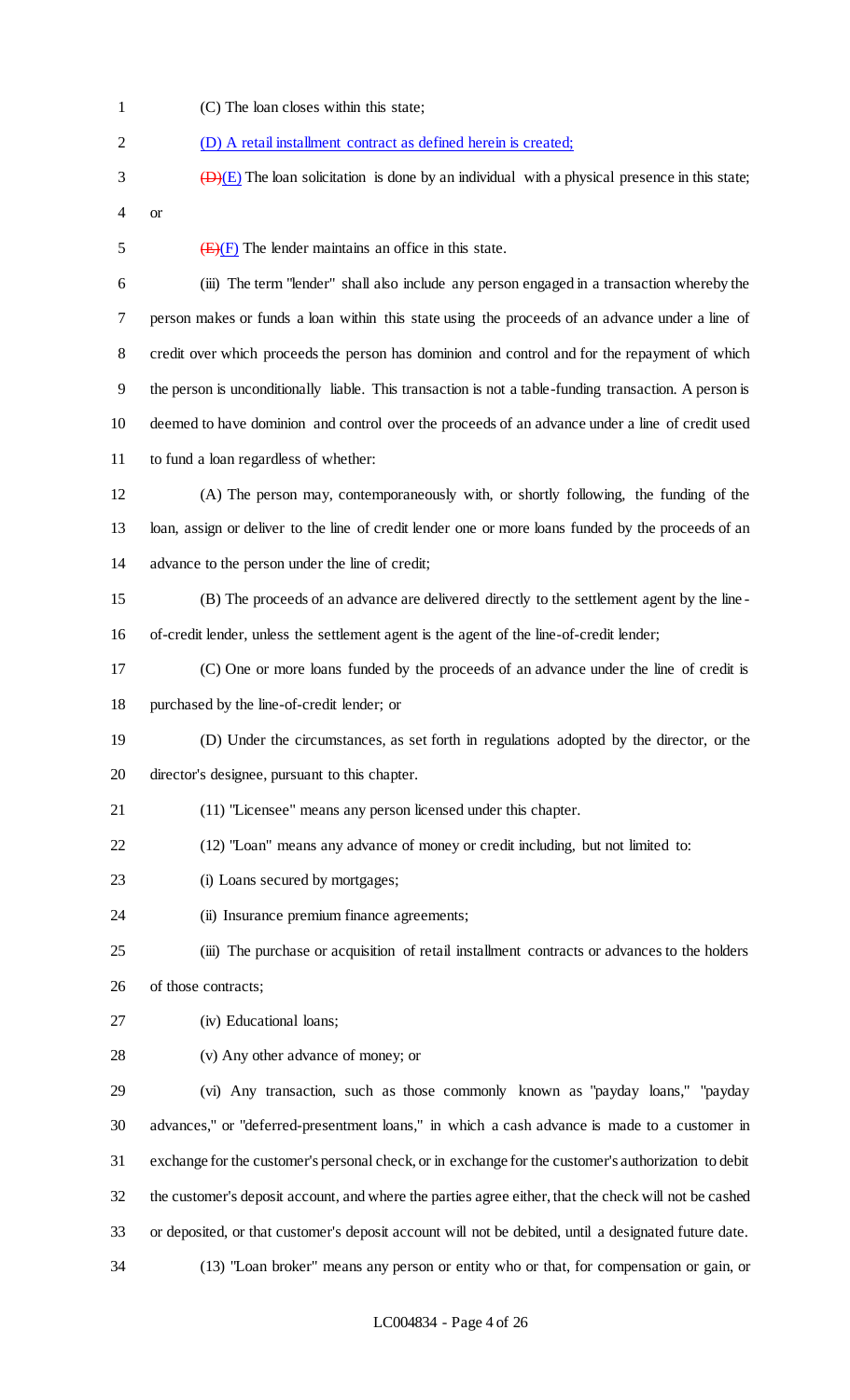- (C) The loan closes within this state; (D) A retail installment contract as defined herein is created;
- $\overline{(\mathbf{D})(E)}$  The loan solicitation is done by an individual with a physical presence in this state; or
- 

5  $\left(\frac{E}{F}\right)$  The lender maintains an office in this state.

 (iii) The term "lender" shall also include any person engaged in a transaction whereby the person makes or funds a loan within this state using the proceeds of an advance under a line of credit over which proceeds the person has dominion and control and for the repayment of which the person is unconditionally liable. This transaction is not a table-funding transaction. A person is deemed to have dominion and control over the proceeds of an advance under a line of credit used to fund a loan regardless of whether:

- (A) The person may, contemporaneously with, or shortly following, the funding of the loan, assign or deliver to the line of credit lender one or more loans funded by the proceeds of an advance to the person under the line of credit;
- (B) The proceeds of an advance are delivered directly to the settlement agent by the line of-credit lender, unless the settlement agent is the agent of the line-of-credit lender;
- (C) One or more loans funded by the proceeds of an advance under the line of credit is purchased by the line-of-credit lender; or
- (D) Under the circumstances, as set forth in regulations adopted by the director, or the director's designee, pursuant to this chapter.
- (11) "Licensee" means any person licensed under this chapter.
- (12) "Loan" means any advance of money or credit including, but not limited to:
- 23 (i) Loans secured by mortgages;
- 24 (ii) Insurance premium finance agreements;
- (iii) The purchase or acquisition of retail installment contracts or advances to the holders of those contracts;
- (iv) Educational loans;
- (v) Any other advance of money; or

 (vi) Any transaction, such as those commonly known as "payday loans," "payday advances," or "deferred-presentment loans," in which a cash advance is made to a customer in exchange for the customer's personal check, or in exchange for the customer's authorization to debit the customer's deposit account, and where the parties agree either, that the check will not be cashed or deposited, or that customer's deposit account will not be debited, until a designated future date.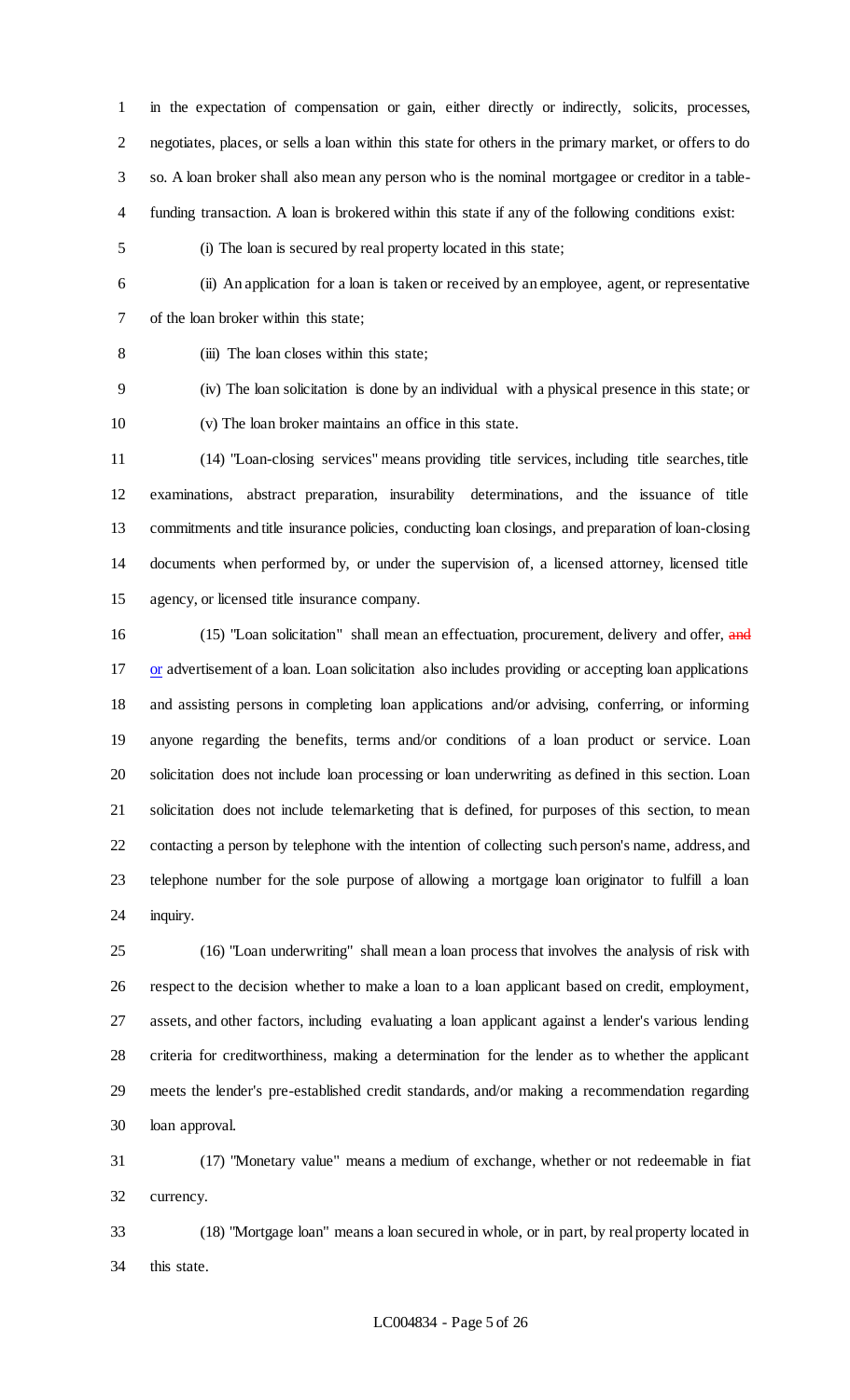in the expectation of compensation or gain, either directly or indirectly, solicits, processes, negotiates, places, or sells a loan within this state for others in the primary market, or offers to do so. A loan broker shall also mean any person who is the nominal mortgagee or creditor in a table-funding transaction. A loan is brokered within this state if any of the following conditions exist:

(i) The loan is secured by real property located in this state;

 (ii) An application for a loan is taken or received by an employee, agent, or representative of the loan broker within this state;

(iii) The loan closes within this state;

 (iv) The loan solicitation is done by an individual with a physical presence in this state; or (v) The loan broker maintains an office in this state.

 (14) "Loan-closing services" means providing title services, including title searches, title examinations, abstract preparation, insurability determinations, and the issuance of title commitments and title insurance policies, conducting loan closings, and preparation of loan-closing documents when performed by, or under the supervision of, a licensed attorney, licensed title agency, or licensed title insurance company.

16 (15) "Loan solicitation" shall mean an effectuation, procurement, delivery and offer, and 17 or advertisement of a loan. Loan solicitation also includes providing or accepting loan applications and assisting persons in completing loan applications and/or advising, conferring, or informing anyone regarding the benefits, terms and/or conditions of a loan product or service. Loan solicitation does not include loan processing or loan underwriting as defined in this section. Loan solicitation does not include telemarketing that is defined, for purposes of this section, to mean contacting a person by telephone with the intention of collecting such person's name, address, and telephone number for the sole purpose of allowing a mortgage loan originator to fulfill a loan inquiry.

 (16) "Loan underwriting" shall mean a loan process that involves the analysis of risk with respect to the decision whether to make a loan to a loan applicant based on credit, employment, assets, and other factors, including evaluating a loan applicant against a lender's various lending criteria for creditworthiness, making a determination for the lender as to whether the applicant meets the lender's pre-established credit standards, and/or making a recommendation regarding loan approval.

 (17) "Monetary value" means a medium of exchange, whether or not redeemable in fiat currency.

 (18) "Mortgage loan" means a loan secured in whole, or in part, by real property located in this state.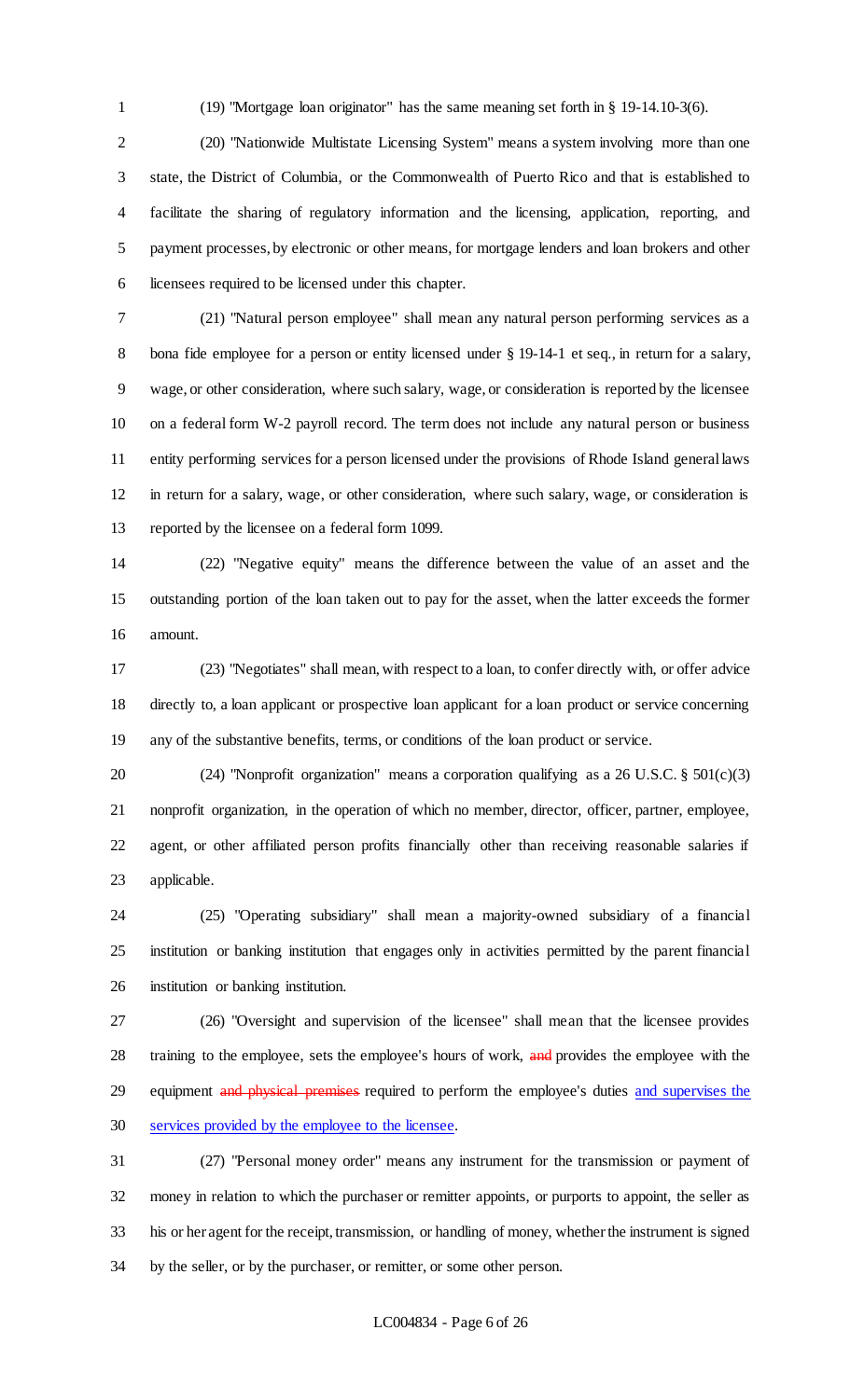(19) "Mortgage loan originator" has the same meaning set forth in § 19-14.10-3(6).

 (20) "Nationwide Multistate Licensing System" means a system involving more than one state, the District of Columbia, or the Commonwealth of Puerto Rico and that is established to facilitate the sharing of regulatory information and the licensing, application, reporting, and payment processes, by electronic or other means, for mortgage lenders and loan brokers and other licensees required to be licensed under this chapter.

 (21) "Natural person employee" shall mean any natural person performing services as a 8 bona fide employee for a person or entity licensed under § 19-14-1 et seq., in return for a salary, wage, or other consideration, where such salary, wage, or consideration is reported by the licensee on a federal form W-2 payroll record. The term does not include any natural person or business entity performing services for a person licensed under the provisions of Rhode Island general laws in return for a salary, wage, or other consideration, where such salary, wage, or consideration is reported by the licensee on a federal form 1099.

 (22) "Negative equity" means the difference between the value of an asset and the outstanding portion of the loan taken out to pay for the asset, when the latter exceeds the former amount.

 (23) "Negotiates" shall mean, with respect to a loan, to confer directly with, or offer advice directly to, a loan applicant or prospective loan applicant for a loan product or service concerning any of the substantive benefits, terms, or conditions of the loan product or service.

 (24) "Nonprofit organization" means a corporation qualifying as a 26 U.S.C. § 501(c)(3) nonprofit organization, in the operation of which no member, director, officer, partner, employee, agent, or other affiliated person profits financially other than receiving reasonable salaries if applicable.

 (25) "Operating subsidiary" shall mean a majority-owned subsidiary of a financial institution or banking institution that engages only in activities permitted by the parent financial institution or banking institution.

 (26) "Oversight and supervision of the licensee" shall mean that the licensee provides 28 training to the employee, sets the employee's hours of work, and provides the employee with the 29 equipment and physical premises required to perform the employee's duties and supervises the services provided by the employee to the licensee.

 (27) "Personal money order" means any instrument for the transmission or payment of money in relation to which the purchaser or remitter appoints, or purports to appoint, the seller as his or her agent for the receipt, transmission, or handling of money, whether the instrument is signed by the seller, or by the purchaser, or remitter, or some other person.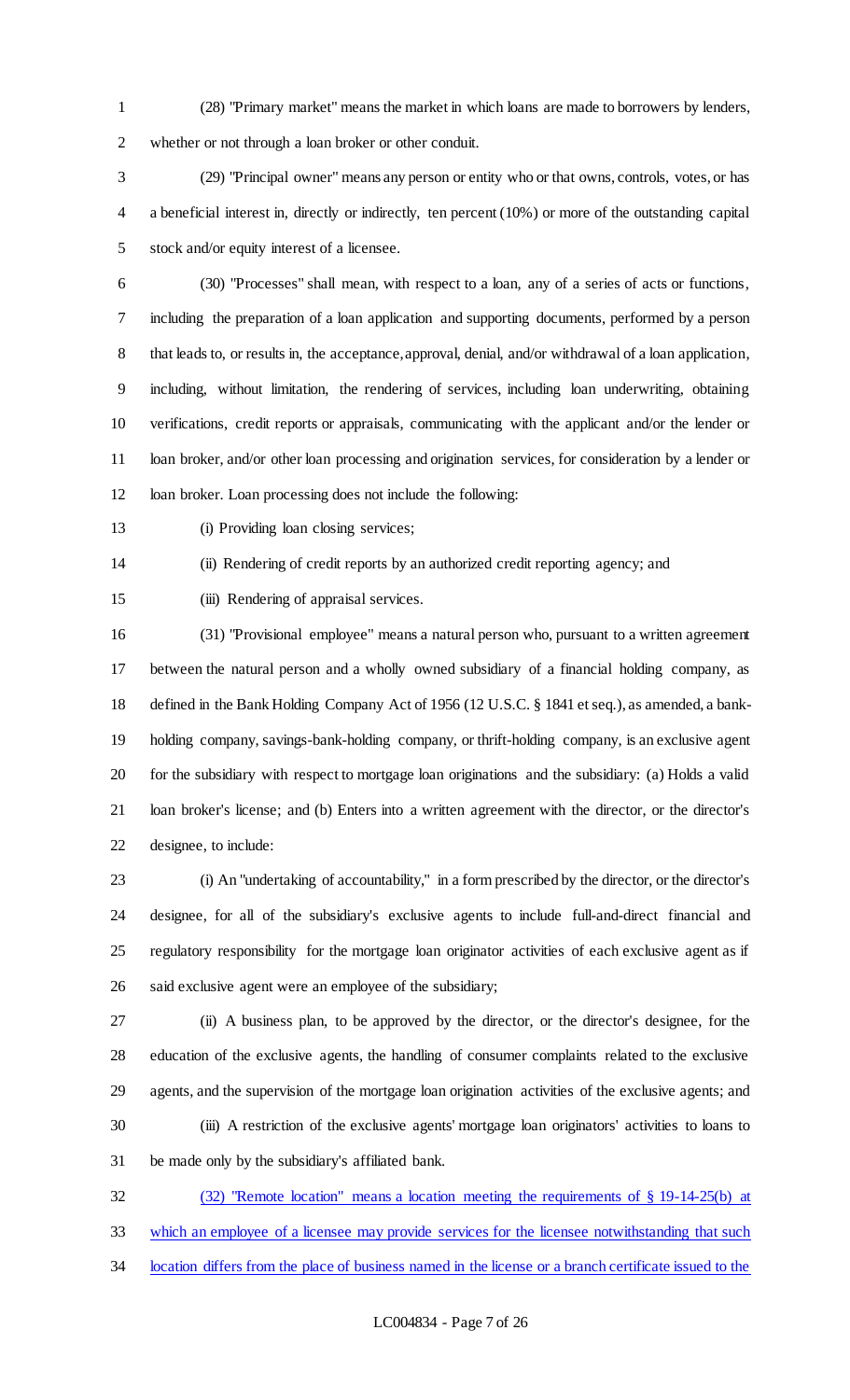(28) "Primary market" means the market in which loans are made to borrowers by lenders, whether or not through a loan broker or other conduit.

 (29) "Principal owner" means any person or entity who or that owns, controls, votes, or has a beneficial interest in, directly or indirectly, ten percent (10%) or more of the outstanding capital stock and/or equity interest of a licensee.

 (30) "Processes" shall mean, with respect to a loan, any of a series of acts or functions, including the preparation of a loan application and supporting documents, performed by a person 8 that leads to, or results in, the acceptance, approval, denial, and/or withdrawal of a loan application, including, without limitation, the rendering of services, including loan underwriting, obtaining verifications, credit reports or appraisals, communicating with the applicant and/or the lender or 11 loan broker, and/or other loan processing and origination services, for consideration by a lender or loan broker. Loan processing does not include the following:

13 (i) Providing loan closing services;

(ii) Rendering of credit reports by an authorized credit reporting agency; and

(iii) Rendering of appraisal services.

 (31) "Provisional employee" means a natural person who, pursuant to a written agreement between the natural person and a wholly owned subsidiary of a financial holding company, as defined in the Bank Holding Company Act of 1956 (12 U.S.C. § 1841 et seq.), as amended, a bank- holding company, savings-bank-holding company, or thrift-holding company, is an exclusive agent for the subsidiary with respect to mortgage loan originations and the subsidiary: (a) Holds a valid loan broker's license; and (b) Enters into a written agreement with the director, or the director's designee, to include:

 (i) An "undertaking of accountability," in a form prescribed by the director, or the director's designee, for all of the subsidiary's exclusive agents to include full-and-direct financial and regulatory responsibility for the mortgage loan originator activities of each exclusive agent as if said exclusive agent were an employee of the subsidiary;

 (ii) A business plan, to be approved by the director, or the director's designee, for the education of the exclusive agents, the handling of consumer complaints related to the exclusive agents, and the supervision of the mortgage loan origination activities of the exclusive agents; and (iii) A restriction of the exclusive agents' mortgage loan originators' activities to loans to be made only by the subsidiary's affiliated bank.

 (32) "Remote location" means a location meeting the requirements of § 19-14-25(b) at which an employee of a licensee may provide services for the licensee notwithstanding that such 34 location differs from the place of business named in the license or a branch certificate issued to the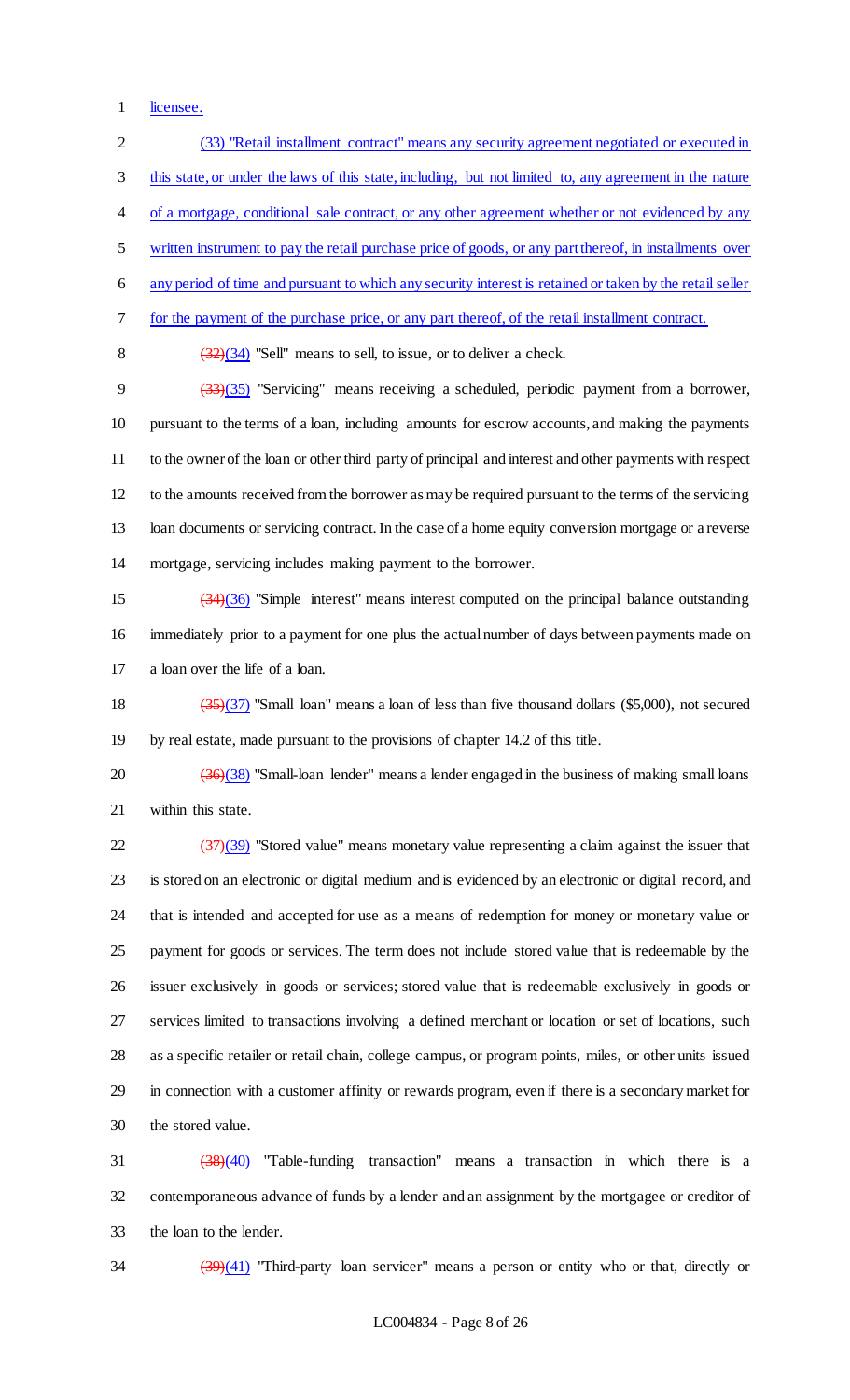licensee.

 (33) "Retail installment contract" means any security agreement negotiated or executed in this state, or under the laws of this state, including, but not limited to, any agreement in the nature 4 of a mortgage, conditional sale contract, or any other agreement whether or not evidenced by any written instrument to pay the retail purchase price of goods, or any part thereof, in installments over any period of time and pursuant to which any security interest is retained or taken by the retail seller for the payment of the purchase price, or any part thereof, of the retail installment contract.  $(32)(34)$  "Sell" means to sell, to issue, or to deliver a check. (33)(35) "Servicing" means receiving a scheduled, periodic payment from a borrower, pursuant to the terms of a loan, including amounts for escrow accounts, and making the payments to the owner of the loan or other third party of principal and interest and other payments with respect to the amounts received from the borrower as may be required pursuant to the terms of the servicing loan documents or servicing contract. In the case of a home equity conversion mortgage or a reverse mortgage, servicing includes making payment to the borrower. (34)(36) "Simple interest" means interest computed on the principal balance outstanding immediately prior to a payment for one plus the actual number of days between payments made on a loan over the life of a loan. (35)(37) "Small loan" means a loan of less than five thousand dollars (\$5,000), not secured by real estate, made pursuant to the provisions of chapter 14.2 of this title.  $\frac{(36)(38)}{20}$  "Small-loan lender" means a lender engaged in the business of making small loans

within this state.

 $\frac{(37)(39)}{22}$  "Stored value" means monetary value representing a claim against the issuer that is stored on an electronic or digital medium and is evidenced by an electronic or digital record, and that is intended and accepted for use as a means of redemption for money or monetary value or payment for goods or services. The term does not include stored value that is redeemable by the issuer exclusively in goods or services; stored value that is redeemable exclusively in goods or services limited to transactions involving a defined merchant or location or set of locations, such as a specific retailer or retail chain, college campus, or program points, miles, or other units issued in connection with a customer affinity or rewards program, even if there is a secondary market for the stored value.

 (38)(40) "Table-funding transaction" means a transaction in which there is a contemporaneous advance of funds by a lender and an assignment by the mortgagee or creditor of the loan to the lender.

(39)(41) "Third-party loan servicer" means a person or entity who or that, directly or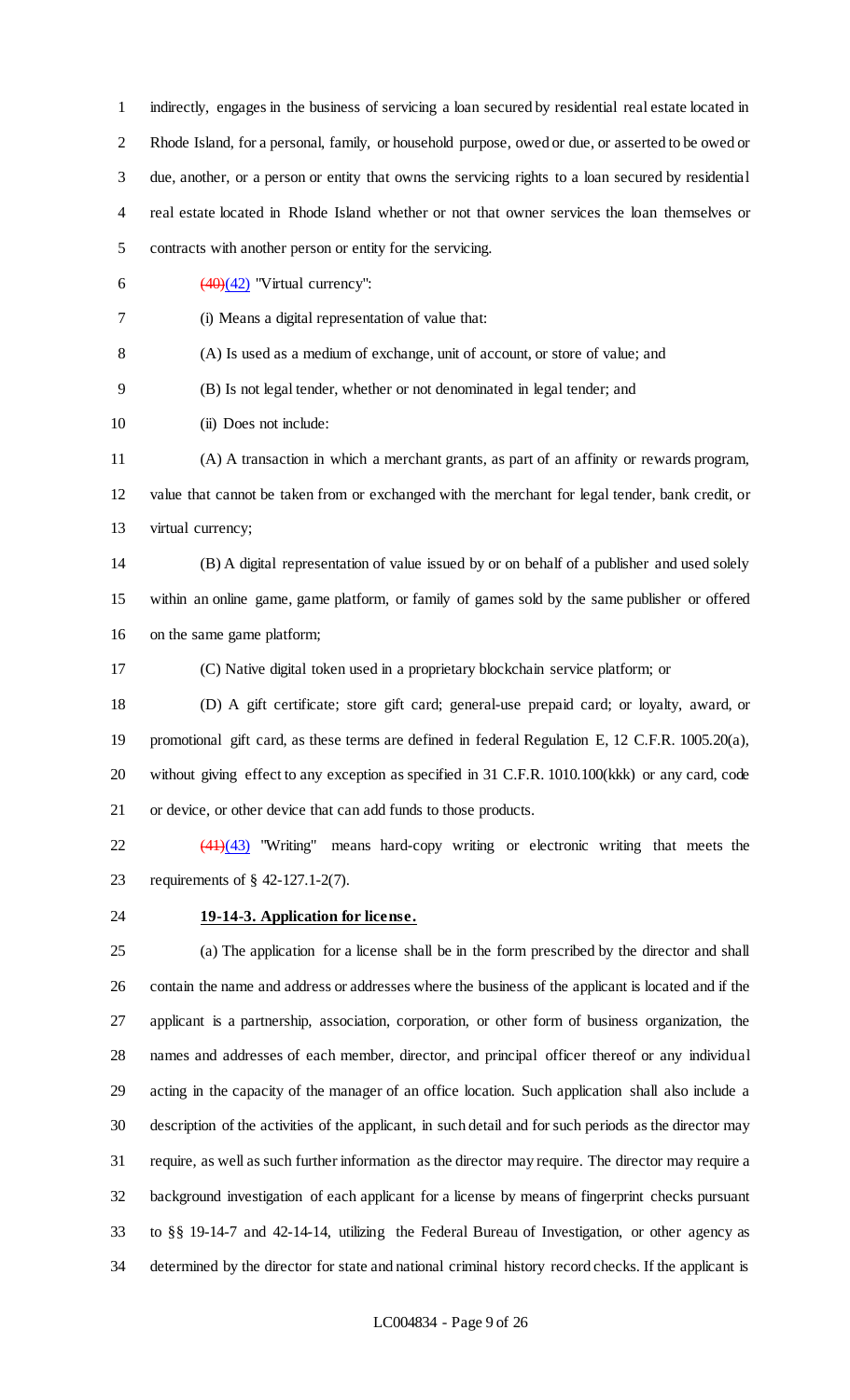indirectly, engages in the business of servicing a loan secured by residential real estate located in Rhode Island, for a personal, family, or household purpose, owed or due, or asserted to be owed or due, another, or a person or entity that owns the servicing rights to a loan secured by residential real estate located in Rhode Island whether or not that owner services the loan themselves or contracts with another person or entity for the servicing.

6  $\left(\frac{(40)(42)}{2}\right)$  "Virtual currency":

(i) Means a digital representation of value that:

(A) Is used as a medium of exchange, unit of account, or store of value; and

(B) Is not legal tender, whether or not denominated in legal tender; and

10 (ii) Does not include:

 (A) A transaction in which a merchant grants, as part of an affinity or rewards program, value that cannot be taken from or exchanged with the merchant for legal tender, bank credit, or virtual currency;

 (B) A digital representation of value issued by or on behalf of a publisher and used solely within an online game, game platform, or family of games sold by the same publisher or offered on the same game platform;

(C) Native digital token used in a proprietary blockchain service platform; or

 (D) A gift certificate; store gift card; general-use prepaid card; or loyalty, award, or promotional gift card, as these terms are defined in federal Regulation E, 12 C.F.R. 1005.20(a), without giving effect to any exception as specified in 31 C.F.R. 1010.100(kkk) or any card, code or device, or other device that can add funds to those products.

22 (41)(43) "Writing" means hard-copy writing or electronic writing that meets the requirements of § 42-127.1-2(7).

## **19-14-3. Application for license.**

 (a) The application for a license shall be in the form prescribed by the director and shall contain the name and address or addresses where the business of the applicant is located and if the applicant is a partnership, association, corporation, or other form of business organization, the names and addresses of each member, director, and principal officer thereof or any individual acting in the capacity of the manager of an office location. Such application shall also include a description of the activities of the applicant, in such detail and for such periods as the director may require, as well as such further information as the director may require. The director may require a background investigation of each applicant for a license by means of fingerprint checks pursuant to §§ 19-14-7 and 42-14-14, utilizing the Federal Bureau of Investigation, or other agency as determined by the director for state and national criminal history record checks. If the applicant is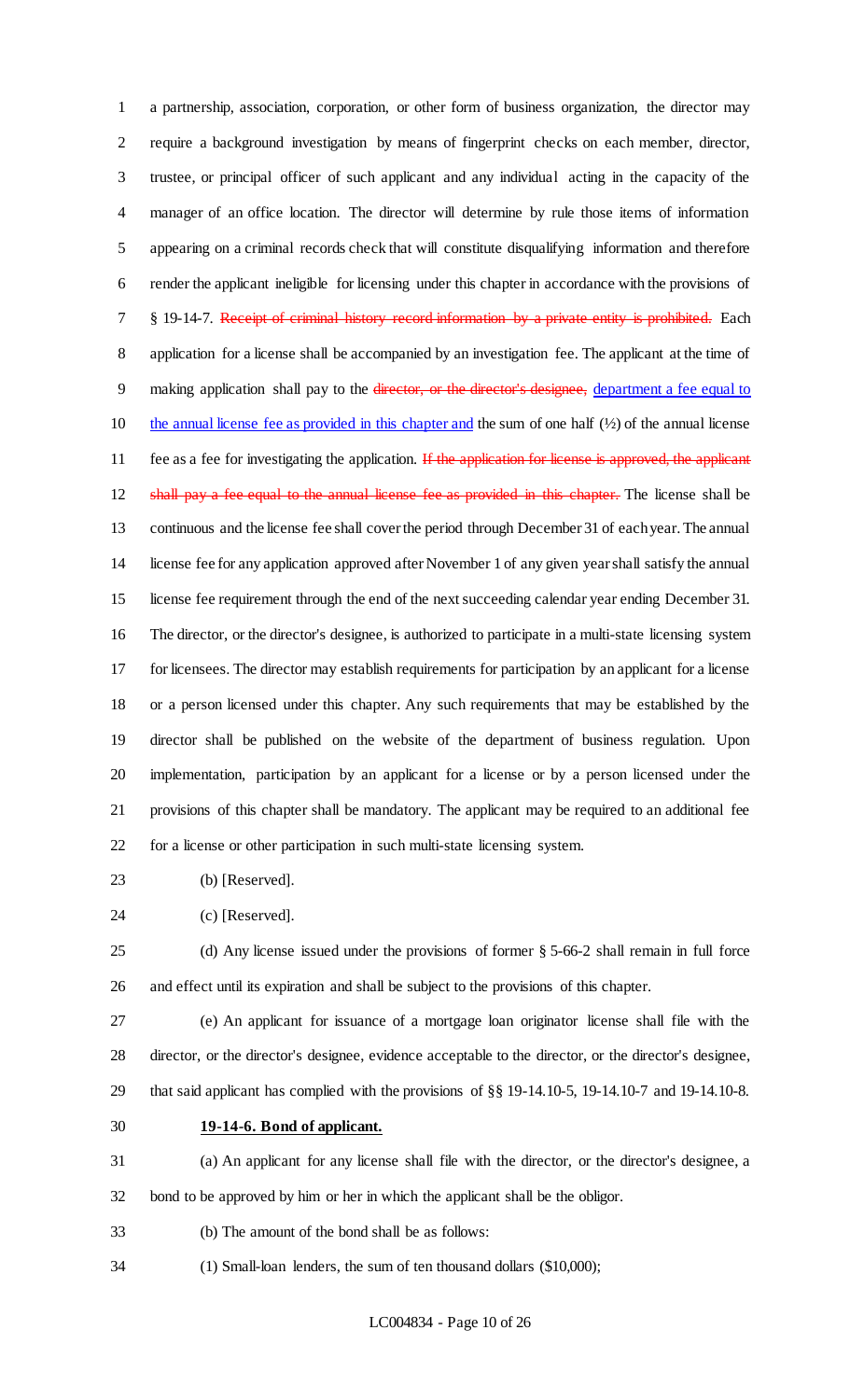a partnership, association, corporation, or other form of business organization, the director may require a background investigation by means of fingerprint checks on each member, director, trustee, or principal officer of such applicant and any individual acting in the capacity of the manager of an office location. The director will determine by rule those items of information appearing on a criminal records check that will constitute disqualifying information and therefore render the applicant ineligible for licensing under this chapter in accordance with the provisions of <sup>7</sup> § 19-14-7. Receipt of criminal history record information by a private entity is prohibited. Each application for a license shall be accompanied by an investigation fee. The applicant at the time of 9 making application shall pay to the director, or the director's designee, department a fee equal to 10 the annual license fee as provided in this chapter and the sum of one half  $(½)$  of the annual license 11 fee as a fee for investigating the application. If the application for license is approved, the applicant 12 shall pay a fee equal to the annual license fee as provided in this chapter. The license shall be continuous and the license fee shall cover the period through December 31 of each year. The annual license fee for any application approved after November 1 of any given year shall satisfy the annual license fee requirement through the end of the next succeeding calendar year ending December 31. The director, or the director's designee, is authorized to participate in a multi-state licensing system for licensees. The director may establish requirements for participation by an applicant for a license or a person licensed under this chapter. Any such requirements that may be established by the director shall be published on the website of the department of business regulation. Upon implementation, participation by an applicant for a license or by a person licensed under the provisions of this chapter shall be mandatory. The applicant may be required to an additional fee for a license or other participation in such multi-state licensing system.

- (b) [Reserved].
- (c) [Reserved].

 (d) Any license issued under the provisions of former § 5-66-2 shall remain in full force and effect until its expiration and shall be subject to the provisions of this chapter.

 (e) An applicant for issuance of a mortgage loan originator license shall file with the director, or the director's designee, evidence acceptable to the director, or the director's designee, that said applicant has complied with the provisions of §§ 19-14.10-5, 19-14.10-7 and 19-14.10-8.

**19-14-6. Bond of applicant.**

 (a) An applicant for any license shall file with the director, or the director's designee, a bond to be approved by him or her in which the applicant shall be the obligor.

- (b) The amount of the bond shall be as follows:
- (1) Small-loan lenders, the sum of ten thousand dollars (\$10,000);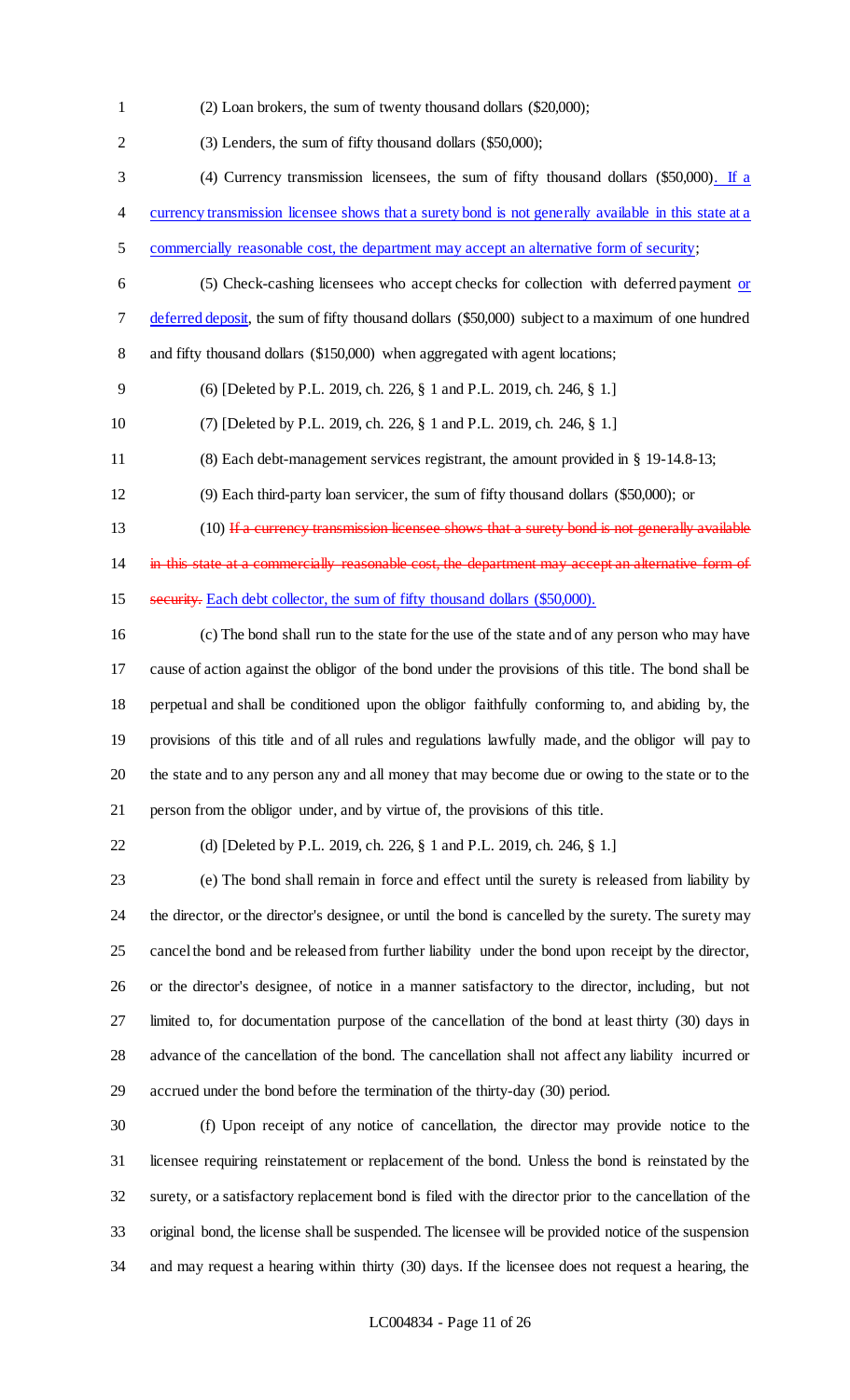(2) Loan brokers, the sum of twenty thousand dollars (\$20,000);

 (3) Lenders, the sum of fifty thousand dollars (\$50,000); (4) Currency transmission licensees, the sum of fifty thousand dollars (\$50,000). If a currency transmission licensee shows that a surety bond is not generally available in this state at a commercially reasonable cost, the department may accept an alternative form of security; 6 (5) Check-cashing licensees who accept checks for collection with deferred payment or deferred deposit, the sum of fifty thousand dollars (\$50,000) subject to a maximum of one hundred and fifty thousand dollars (\$150,000) when aggregated with agent locations; (6) [Deleted by P.L. 2019, ch. 226, § 1 and P.L. 2019, ch. 246, § 1.] (7) [Deleted by P.L. 2019, ch. 226, § 1 and P.L. 2019, ch. 246, § 1.] (8) Each debt-management services registrant, the amount provided in § 19-14.8-13; (9) Each third-party loan servicer, the sum of fifty thousand dollars (\$50,000); or 13 (10) If a currency transmission licensee shows that a surety bond is not generally available 14 in this state at a commercially reasonable cost, the department may accept an alternative form of 15 security. Each debt collector, the sum of fifty thousand dollars (\$50,000). (c) The bond shall run to the state for the use of the state and of any person who may have cause of action against the obligor of the bond under the provisions of this title. The bond shall be perpetual and shall be conditioned upon the obligor faithfully conforming to, and abiding by, the provisions of this title and of all rules and regulations lawfully made, and the obligor will pay to

 the state and to any person any and all money that may become due or owing to the state or to the person from the obligor under, and by virtue of, the provisions of this title.

(d) [Deleted by P.L. 2019, ch. 226, § 1 and P.L. 2019, ch. 246, § 1.]

 (e) The bond shall remain in force and effect until the surety is released from liability by the director, or the director's designee, or until the bond is cancelled by the surety. The surety may cancel the bond and be released from further liability under the bond upon receipt by the director, or the director's designee, of notice in a manner satisfactory to the director, including, but not limited to, for documentation purpose of the cancellation of the bond at least thirty (30) days in advance of the cancellation of the bond. The cancellation shall not affect any liability incurred or accrued under the bond before the termination of the thirty-day (30) period.

 (f) Upon receipt of any notice of cancellation, the director may provide notice to the licensee requiring reinstatement or replacement of the bond. Unless the bond is reinstated by the surety, or a satisfactory replacement bond is filed with the director prior to the cancellation of the original bond, the license shall be suspended. The licensee will be provided notice of the suspension and may request a hearing within thirty (30) days. If the licensee does not request a hearing, the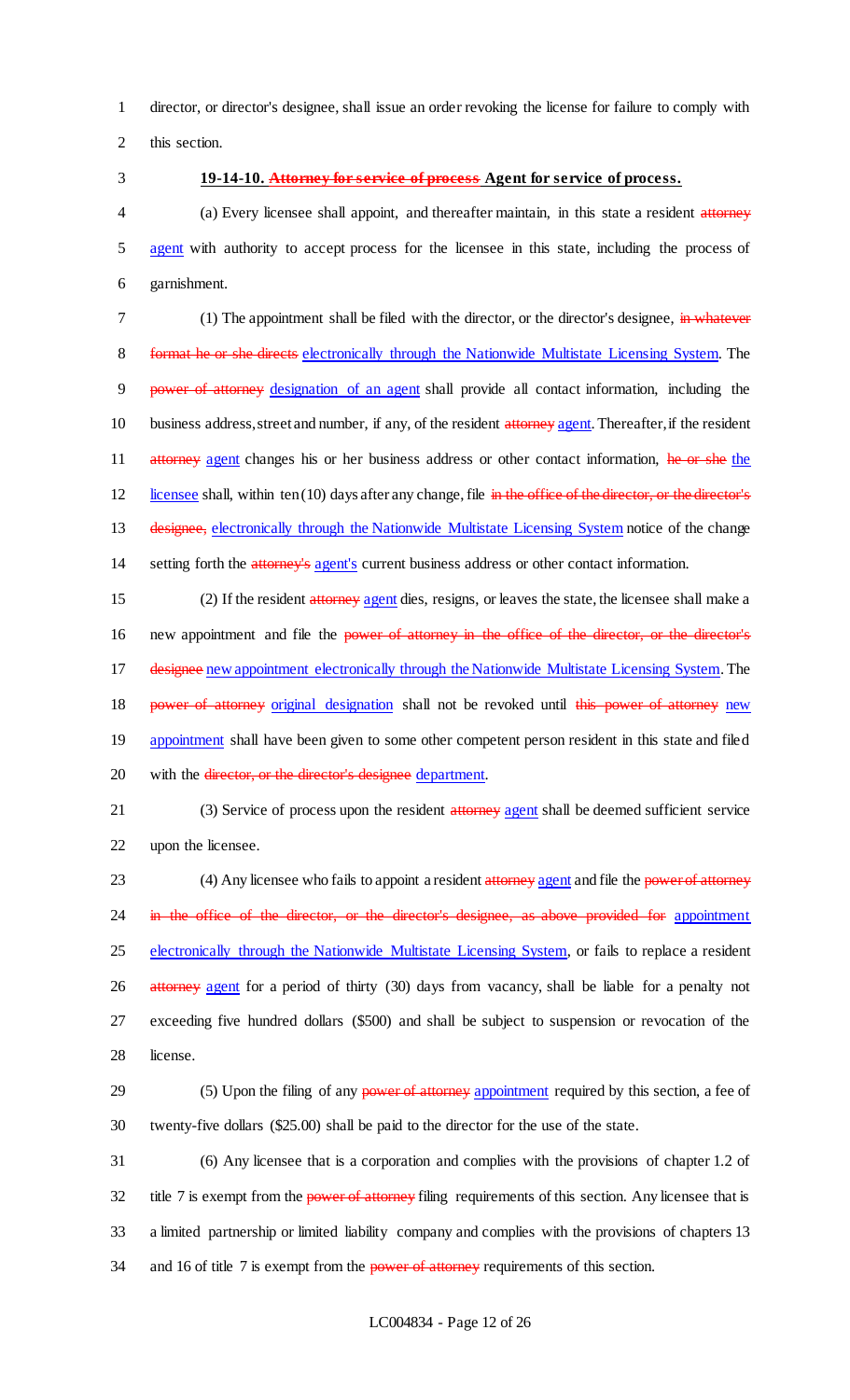1 director, or director's designee, shall issue an order revoking the license for failure to comply with 2 this section.

### 3 **19-14-10. Attorney for service of process Agent for service of process.**

4 (a) Every licensee shall appoint, and thereafter maintain, in this state a resident attorney 5 agent with authority to accept process for the licensee in this state, including the process of 6 garnishment.

7 (1) The appointment shall be filed with the director, or the director's designee, in whatever 8 format he or she directs electronically through the Nationwide Multistate Licensing System. The 9 power of attorney designation of an agent shall provide all contact information, including the 10 business address, street and number, if any, of the resident attorney agent. Thereafter, if the resident 11 attorney agent changes his or her business address or other contact information, he or she the 12 licensee shall, within ten (10) days after any change, file in the office of the director, or the director's 13 designee, electronically through the Nationwide Multistate Licensing System notice of the change 14 setting forth the attorney's agent's current business address or other contact information.

15 (2) If the resident attorney agent dies, resigns, or leaves the state, the licensee shall make a 16 new appointment and file the power of attorney in the office of the director, or the director's 17 designee new appointment electronically through the Nationwide Multistate Licensing System. The 18 power of attorney original designation shall not be revoked until this power of attorney new 19 appointment shall have been given to some other competent person resident in this state and filed 20 with the <del>director, or the director's designee</del> department.

21 (3) Service of process upon the resident attorney agent shall be deemed sufficient service 22 upon the licensee.

23 (4) Any licensee who fails to appoint a resident attorney agent and file the power of attorney 24 in the office of the director, or the director's designee, as above provided for appointment 25 electronically through the Nationwide Multistate Licensing System, or fails to replace a resident 26 attorney agent for a period of thirty (30) days from vacancy, shall be liable for a penalty not 27 exceeding five hundred dollars (\$500) and shall be subject to suspension or revocation of the 28 license.

29 (5) Upon the filing of any power of attorney appointment required by this section, a fee of 30 twenty-five dollars (\$25.00) shall be paid to the director for the use of the state.

31 (6) Any licensee that is a corporation and complies with the provisions of chapter 1.2 of 32 title 7 is exempt from the power of attorney filing requirements of this section. Any licensee that is 33 a limited partnership or limited liability company and complies with the provisions of chapters 13 34 and 16 of title 7 is exempt from the **power of attorney** requirements of this section.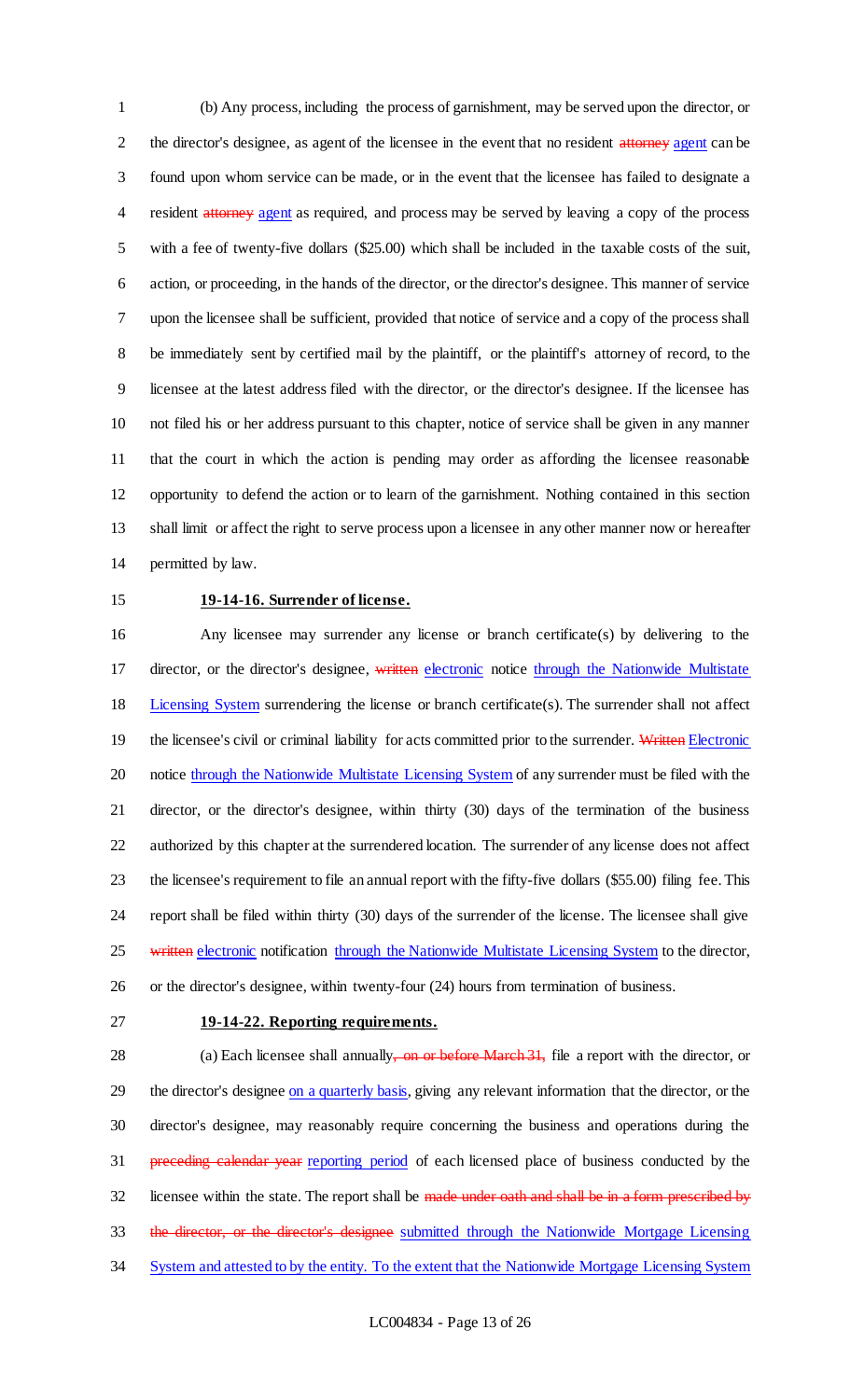(b) Any process, including the process of garnishment, may be served upon the director, or 2 the director's designee, as agent of the licensee in the event that no resident attorney agent can be found upon whom service can be made, or in the event that the licensee has failed to designate a 4 resident attorney agent as required, and process may be served by leaving a copy of the process with a fee of twenty-five dollars (\$25.00) which shall be included in the taxable costs of the suit, action, or proceeding, in the hands of the director, or the director's designee. This manner of service upon the licensee shall be sufficient, provided that notice of service and a copy of the process shall be immediately sent by certified mail by the plaintiff, or the plaintiff's attorney of record, to the licensee at the latest address filed with the director, or the director's designee. If the licensee has not filed his or her address pursuant to this chapter, notice of service shall be given in any manner that the court in which the action is pending may order as affording the licensee reasonable opportunity to defend the action or to learn of the garnishment. Nothing contained in this section shall limit or affect the right to serve process upon a licensee in any other manner now or hereafter permitted by law.

### **19-14-16. Surrender of license.**

 Any licensee may surrender any license or branch certificate(s) by delivering to the 17 director, or the director's designee, written electronic notice through the Nationwide Multistate 18 Licensing System surrendering the license or branch certificate(s). The surrender shall not affect 19 the licensee's civil or criminal liability for acts committed prior to the surrender. Written Electronic 20 notice through the Nationwide Multistate Licensing System of any surrender must be filed with the director, or the director's designee, within thirty (30) days of the termination of the business authorized by this chapter at the surrendered location. The surrender of any license does not affect the licensee's requirement to file an annual report with the fifty-five dollars (\$55.00) filing fee. This report shall be filed within thirty (30) days of the surrender of the license. The licensee shall give 25 written electronic notification through the Nationwide Multistate Licensing System to the director, or the director's designee, within twenty-four (24) hours from termination of business.

### **19-14-22. Reporting requirements.**

28 (a) Each licensee shall annually, on or before March 31, file a report with the director, or 29 the director's designee on a quarterly basis, giving any relevant information that the director, or the director's designee, may reasonably require concerning the business and operations during the **preceding calendar year** reporting period of each licensed place of business conducted by the 32 licensee within the state. The report shall be made under oath and shall be in a form prescribed by 33 the director, or the director's designee submitted through the Nationwide Mortgage Licensing 34 System and attested to by the entity. To the extent that the Nationwide Mortgage Licensing System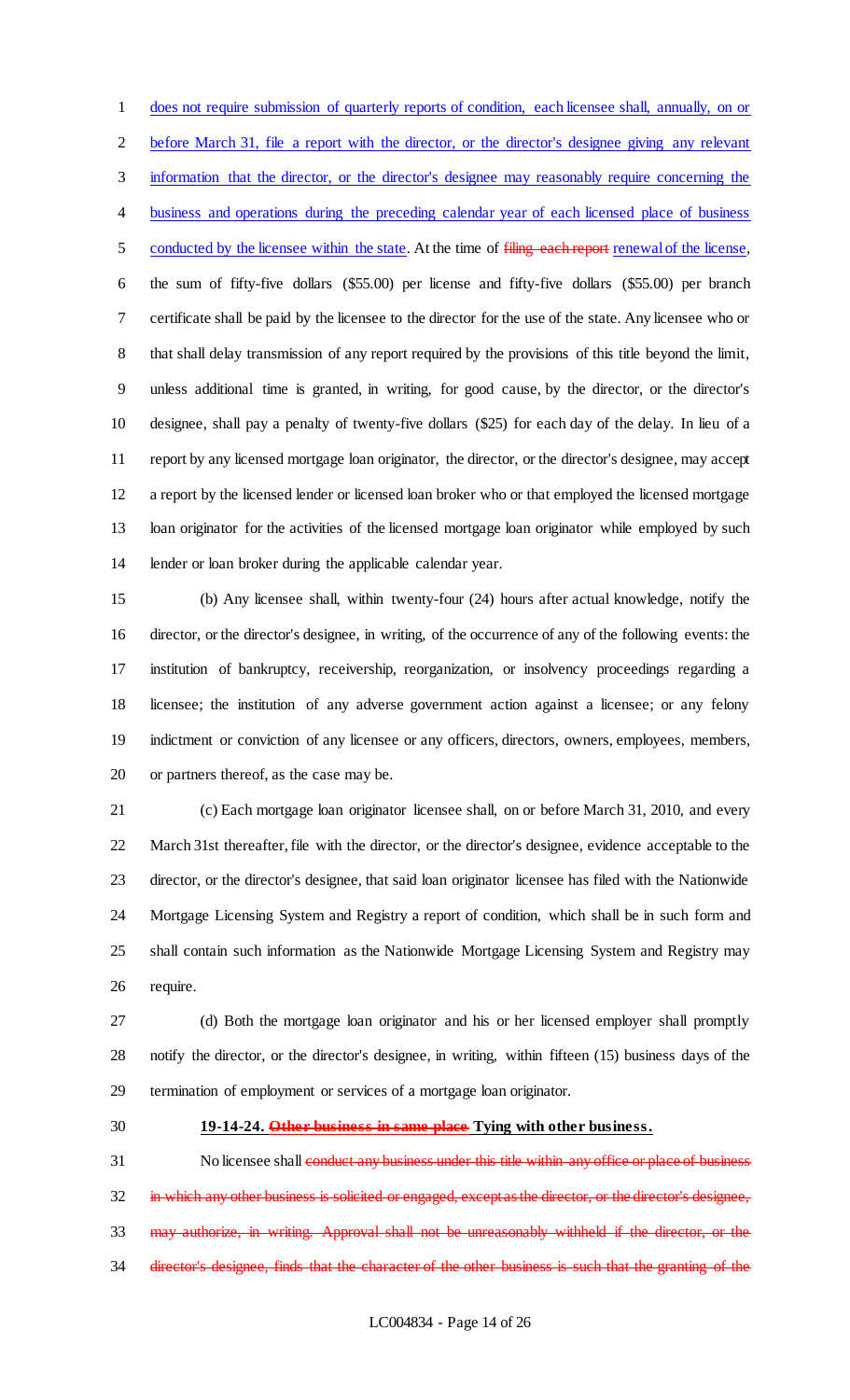does not require submission of quarterly reports of condition, each licensee shall, annually, on or before March 31, file a report with the director, or the director's designee giving any relevant information that the director, or the director's designee may reasonably require concerning the 4 business and operations during the preceding calendar year of each licensed place of business 5 conducted by the licensee within the state. At the time of filing each report renewal of the license, the sum of fifty-five dollars (\$55.00) per license and fifty-five dollars (\$55.00) per branch certificate shall be paid by the licensee to the director for the use of the state. Any licensee who or that shall delay transmission of any report required by the provisions of this title beyond the limit, unless additional time is granted, in writing, for good cause, by the director, or the director's designee, shall pay a penalty of twenty-five dollars (\$25) for each day of the delay. In lieu of a report by any licensed mortgage loan originator, the director, or the director's designee, may accept a report by the licensed lender or licensed loan broker who or that employed the licensed mortgage loan originator for the activities of the licensed mortgage loan originator while employed by such lender or loan broker during the applicable calendar year.

 (b) Any licensee shall, within twenty-four (24) hours after actual knowledge, notify the director, or the director's designee, in writing, of the occurrence of any of the following events: the institution of bankruptcy, receivership, reorganization, or insolvency proceedings regarding a licensee; the institution of any adverse government action against a licensee; or any felony indictment or conviction of any licensee or any officers, directors, owners, employees, members, or partners thereof, as the case may be.

 (c) Each mortgage loan originator licensee shall, on or before March 31, 2010, and every March 31st thereafter, file with the director, or the director's designee, evidence acceptable to the director, or the director's designee, that said loan originator licensee has filed with the Nationwide Mortgage Licensing System and Registry a report of condition, which shall be in such form and shall contain such information as the Nationwide Mortgage Licensing System and Registry may require.

 (d) Both the mortgage loan originator and his or her licensed employer shall promptly notify the director, or the director's designee, in writing, within fifteen (15) business days of the termination of employment or services of a mortgage loan originator.

### **19-14-24. Other business in same place Tying with other business.**

31 No licensee shall conduct any business under this title within any office or place of business 32 in which any other business is solicited or engaged, except as the director, or the director's designee, may authorize, in writing. Approval shall not be unreasonably withheld if the director, or the director's designee, finds that the character of the other business is such that the granting of the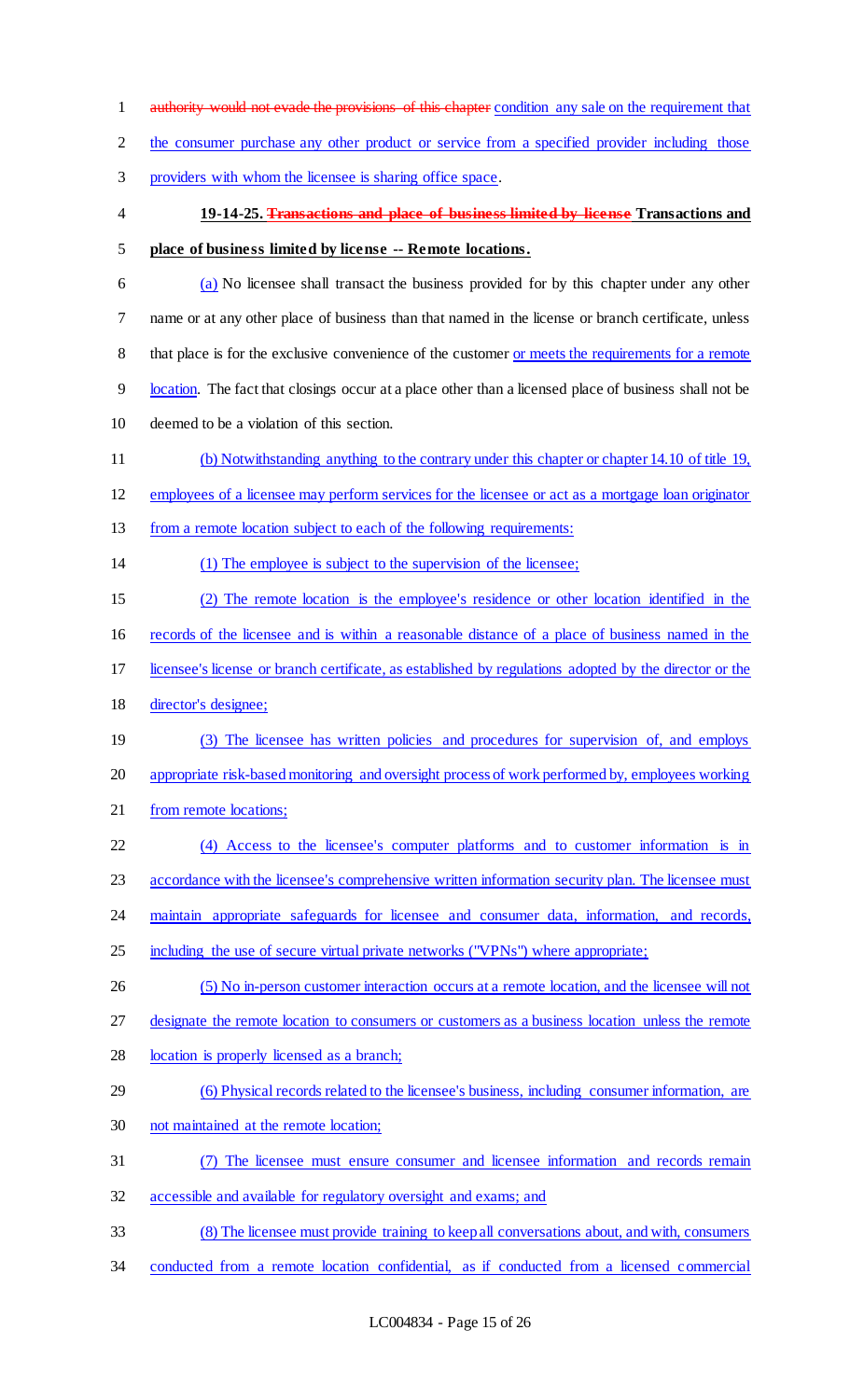1 authority would not evade the provisions of this chapter condition any sale on the requirement that 2 the consumer purchase any other product or service from a specified provider including those providers with whom the licensee is sharing office space. **19-14-25. Transactions and place of business limited by license Transactions and place of business limited by license -- Remote locations.** (a) No licensee shall transact the business provided for by this chapter under any other name or at any other place of business than that named in the license or branch certificate, unless 8 that place is for the exclusive convenience of the customer <u>or meets the requirements</u> for a remote location. The fact that closings occur at a place other than a licensed place of business shall not be deemed to be a violation of this section. (b) Notwithstanding anything to the contrary under this chapter or chapter 14.10 of title 19, employees of a licensee may perform services for the licensee or act as a mortgage loan originator 13 from a remote location subject to each of the following requirements: (1) The employee is subject to the supervision of the licensee; (2) The remote location is the employee's residence or other location identified in the records of the licensee and is within a reasonable distance of a place of business named in the licensee's license or branch certificate, as established by regulations adopted by the director or the director's designee; (3) The licensee has written policies and procedures for supervision of, and employs appropriate risk-based monitoring and oversight process of work performed by, employees working 21 from remote locations; (4) Access to the licensee's computer platforms and to customer information is in 23 accordance with the licensee's comprehensive written information security plan. The licensee must maintain appropriate safeguards for licensee and consumer data, information, and records, including the use of secure virtual private networks ("VPNs") where appropriate; (5) No in-person customer interaction occurs at a remote location, and the licensee will not designate the remote location to consumers or customers as a business location unless the remote 28 location is properly licensed as a branch; (6) Physical records related to the licensee's business, including consumer information, are not maintained at the remote location; (7) The licensee must ensure consumer and licensee information and records remain accessible and available for regulatory oversight and exams; and (8) The licensee must provide training to keep all conversations about, and with, consumers conducted from a remote location confidential, as if conducted from a licensed commercial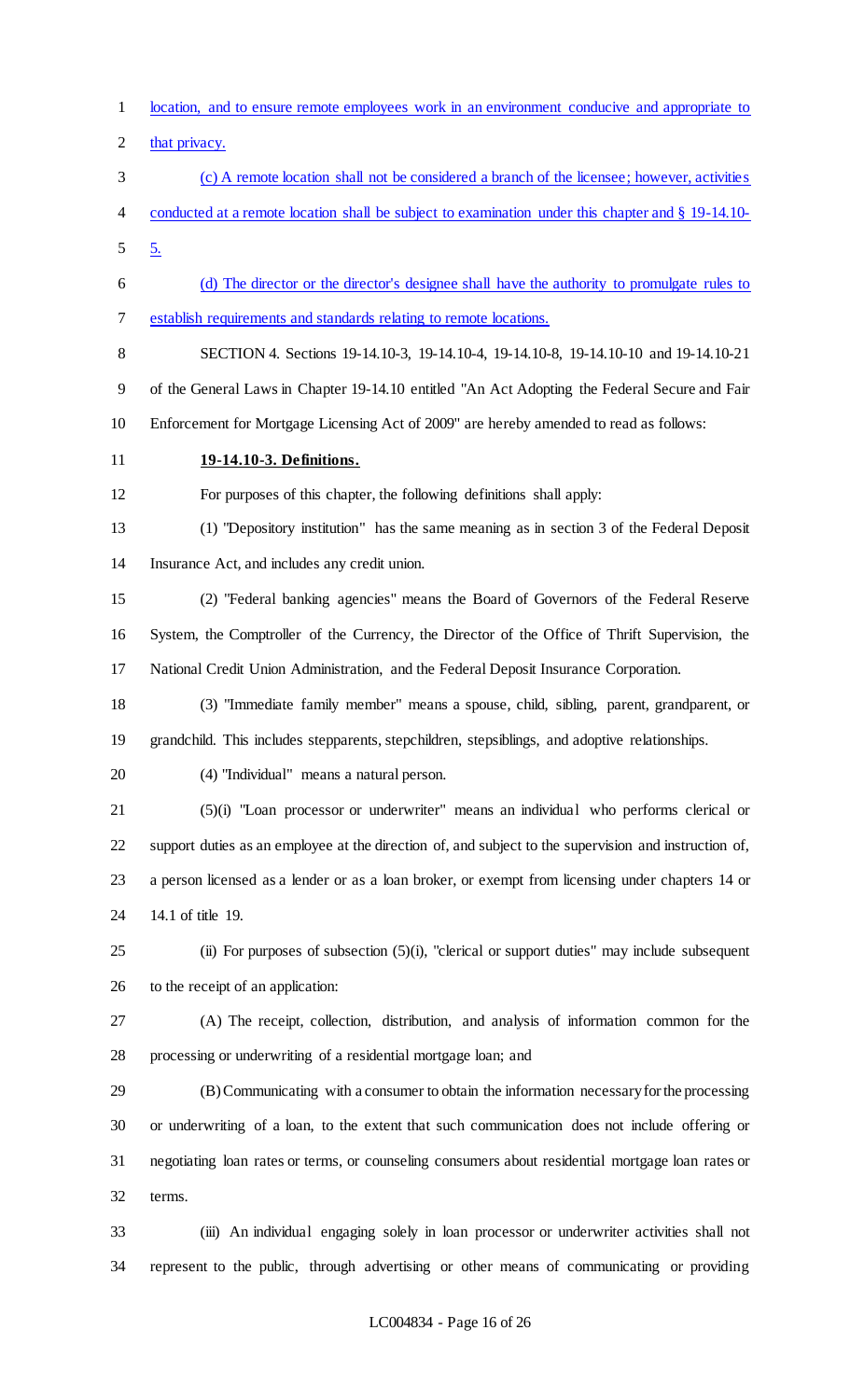- location, and to ensure remote employees work in an environment conducive and appropriate to
- 2 that privacy.
- (c) A remote location shall not be considered a branch of the licensee; however, activities conducted at a remote location shall be subject to examination under this chapter and § 19-14.10-  $5 \frac{5}{2}$
- (d) The director or the director's designee shall have the authority to promulgate rules to establish requirements and standards relating to remote locations.
- 

 SECTION 4. Sections 19-14.10-3, 19-14.10-4, 19-14.10-8, 19-14.10-10 and 19-14.10-21 of the General Laws in Chapter 19-14.10 entitled "An Act Adopting the Federal Secure and Fair Enforcement for Mortgage Licensing Act of 2009" are hereby amended to read as follows:

## **19-14.10-3. Definitions.**

For purposes of this chapter, the following definitions shall apply:

 (1) "Depository institution" has the same meaning as in section 3 of the Federal Deposit Insurance Act, and includes any credit union.

 (2) "Federal banking agencies" means the Board of Governors of the Federal Reserve System, the Comptroller of the Currency, the Director of the Office of Thrift Supervision, the National Credit Union Administration, and the Federal Deposit Insurance Corporation.

 (3) "Immediate family member" means a spouse, child, sibling, parent, grandparent, or grandchild. This includes stepparents, stepchildren, stepsiblings, and adoptive relationships.

(4) "Individual" means a natural person.

 (5)(i) "Loan processor or underwriter" means an individual who performs clerical or support duties as an employee at the direction of, and subject to the supervision and instruction of, a person licensed as a lender or as a loan broker, or exempt from licensing under chapters 14 or 14.1 of title 19.

 (ii) For purposes of subsection (5)(i), "clerical or support duties" may include subsequent to the receipt of an application:

 (A) The receipt, collection, distribution, and analysis of information common for the processing or underwriting of a residential mortgage loan; and

 (B) Communicating with a consumer to obtain the information necessary for the processing or underwriting of a loan, to the extent that such communication does not include offering or negotiating loan rates or terms, or counseling consumers about residential mortgage loan rates or terms.

 (iii) An individual engaging solely in loan processor or underwriter activities shall not represent to the public, through advertising or other means of communicating or providing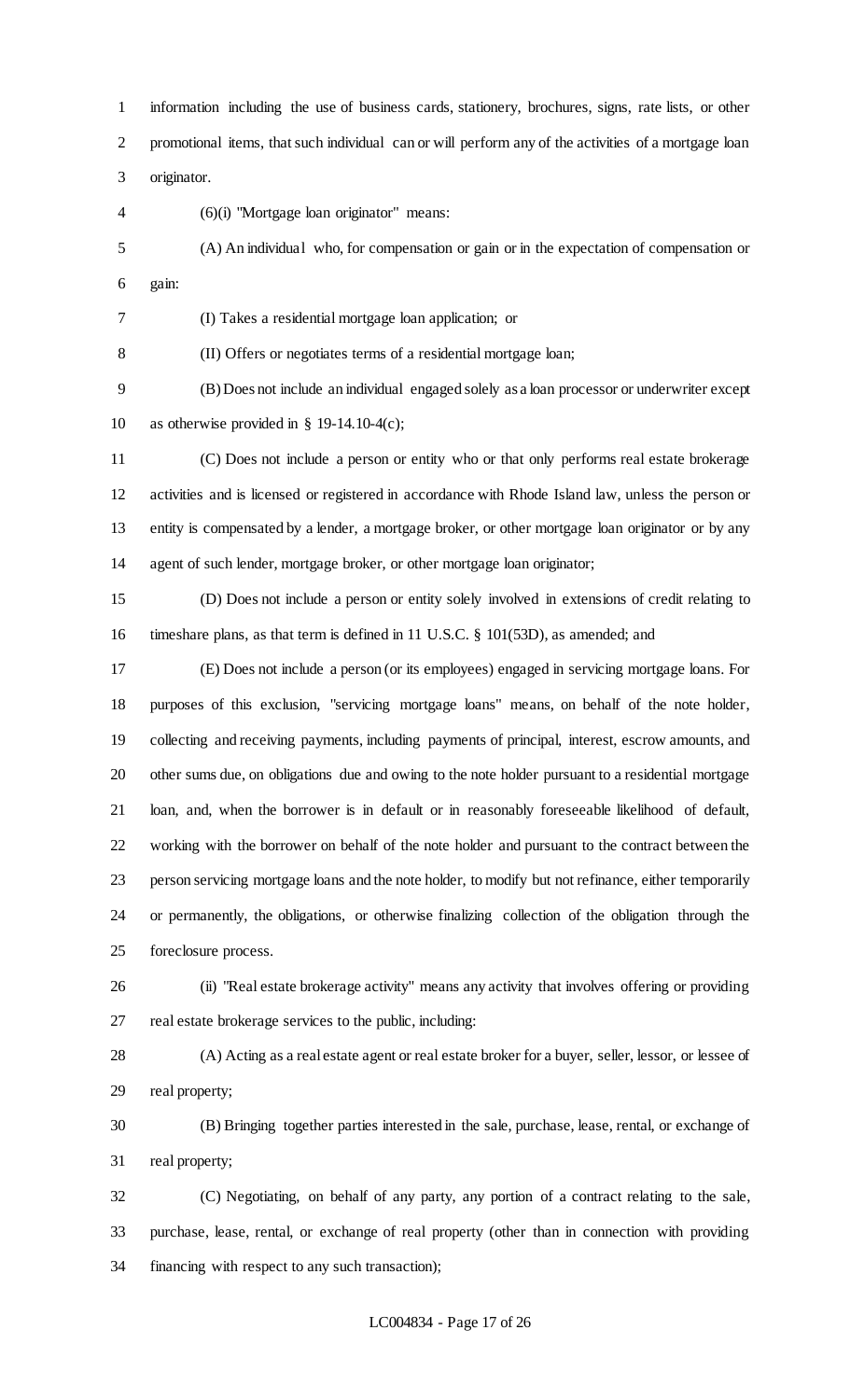information including the use of business cards, stationery, brochures, signs, rate lists, or other promotional items, that such individual can or will perform any of the activities of a mortgage loan originator.

(6)(i) "Mortgage loan originator" means:

 (A) An individual who, for compensation or gain or in the expectation of compensation or gain:

(I) Takes a residential mortgage loan application; or

(II) Offers or negotiates terms of a residential mortgage loan;

 (B) Does not include an individual engaged solely as a loan processor or underwriter except as otherwise provided in § 19-14.10-4(c);

 (C) Does not include a person or entity who or that only performs real estate brokerage activities and is licensed or registered in accordance with Rhode Island law, unless the person or entity is compensated by a lender, a mortgage broker, or other mortgage loan originator or by any agent of such lender, mortgage broker, or other mortgage loan originator;

 (D) Does not include a person or entity solely involved in extensions of credit relating to timeshare plans, as that term is defined in 11 U.S.C. § 101(53D), as amended; and

 (E) Does not include a person (or its employees) engaged in servicing mortgage loans. For purposes of this exclusion, "servicing mortgage loans" means, on behalf of the note holder, collecting and receiving payments, including payments of principal, interest, escrow amounts, and other sums due, on obligations due and owing to the note holder pursuant to a residential mortgage loan, and, when the borrower is in default or in reasonably foreseeable likelihood of default, working with the borrower on behalf of the note holder and pursuant to the contract between the person servicing mortgage loans and the note holder, to modify but not refinance, either temporarily or permanently, the obligations, or otherwise finalizing collection of the obligation through the foreclosure process.

 (ii) "Real estate brokerage activity" means any activity that involves offering or providing real estate brokerage services to the public, including:

 (A) Acting as a real estate agent or real estate broker for a buyer, seller, lessor, or lessee of real property;

 (B) Bringing together parties interested in the sale, purchase, lease, rental, or exchange of real property;

 (C) Negotiating, on behalf of any party, any portion of a contract relating to the sale, purchase, lease, rental, or exchange of real property (other than in connection with providing financing with respect to any such transaction);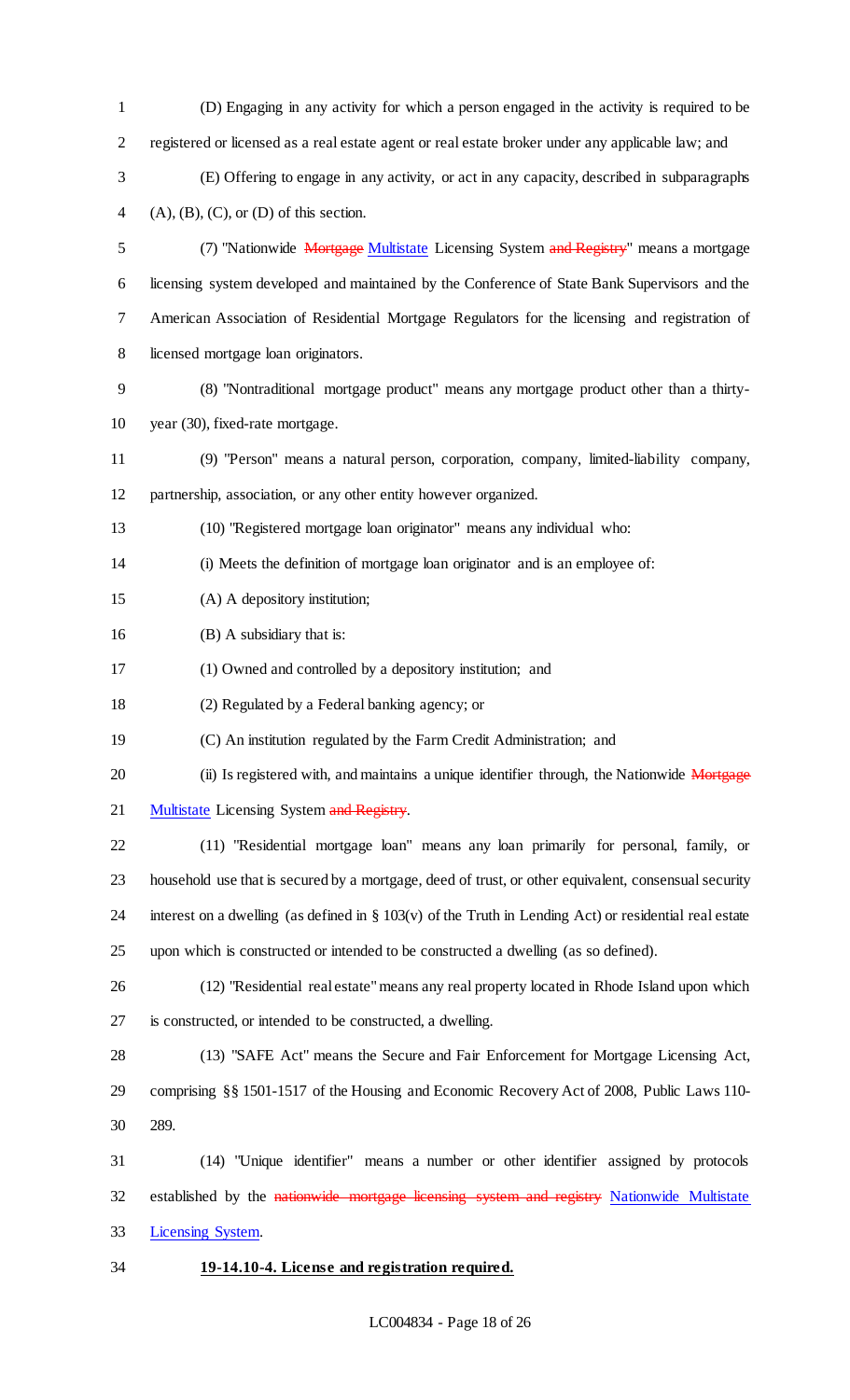(D) Engaging in any activity for which a person engaged in the activity is required to be registered or licensed as a real estate agent or real estate broker under any applicable law; and (E) Offering to engage in any activity, or act in any capacity, described in subparagraphs 4 (A),  $(B)$ ,  $(C)$ , or  $(D)$  of this section. 5 (7) "Nationwide Mortgage Multistate Licensing System and Registry" means a mortgage licensing system developed and maintained by the Conference of State Bank Supervisors and the American Association of Residential Mortgage Regulators for the licensing and registration of licensed mortgage loan originators. (8) "Nontraditional mortgage product" means any mortgage product other than a thirty- year (30), fixed-rate mortgage. (9) "Person" means a natural person, corporation, company, limited-liability company, partnership, association, or any other entity however organized. (10) "Registered mortgage loan originator" means any individual who: (i) Meets the definition of mortgage loan originator and is an employee of: (A) A depository institution; 16 (B) A subsidiary that is: (1) Owned and controlled by a depository institution; and (2) Regulated by a Federal banking agency; or (C) An institution regulated by the Farm Credit Administration; and 20 (ii) Is registered with, and maintains a unique identifier through, the Nationwide Mortgage 21 Multistate Licensing System and Registry. (11) "Residential mortgage loan" means any loan primarily for personal, family, or household use that is secured by a mortgage, deed of trust, or other equivalent, consensual security 24 interest on a dwelling (as defined in  $\S 103(v)$  of the Truth in Lending Act) or residential real estate upon which is constructed or intended to be constructed a dwelling (as so defined). (12) "Residential real estate" means any real property located in Rhode Island upon which is constructed, or intended to be constructed, a dwelling. (13) "SAFE Act" means the Secure and Fair Enforcement for Mortgage Licensing Act, comprising §§ 1501-1517 of the Housing and Economic Recovery Act of 2008, Public Laws 110- 289. (14) "Unique identifier" means a number or other identifier assigned by protocols 32 established by the nationwide mortgage licensing system and registry Nationwide Multistate Licensing System. **19-14.10-4. License and registration required.**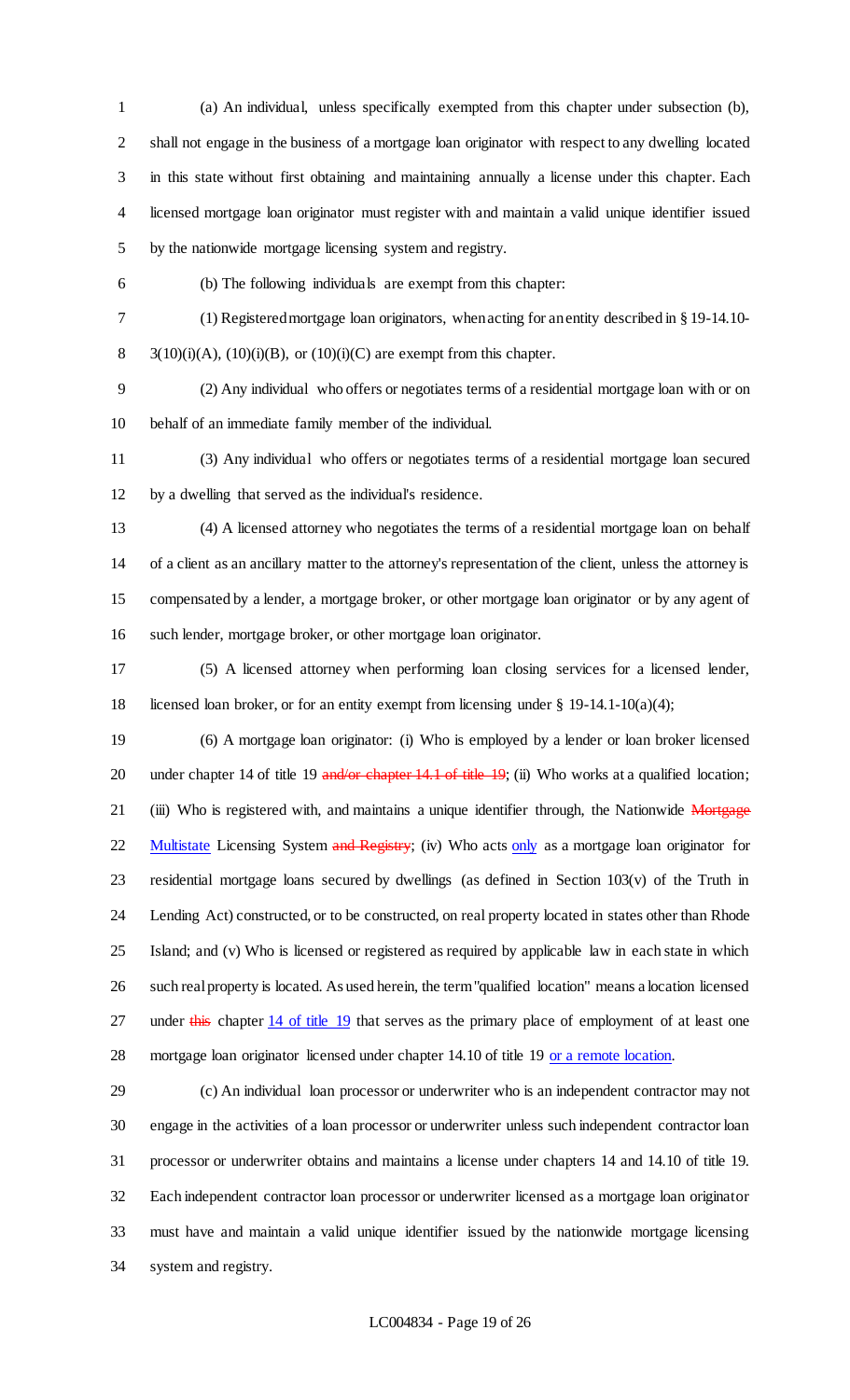(a) An individual, unless specifically exempted from this chapter under subsection (b), shall not engage in the business of a mortgage loan originator with respect to any dwelling located in this state without first obtaining and maintaining annually a license under this chapter. Each licensed mortgage loan originator must register with and maintain a valid unique identifier issued by the nationwide mortgage licensing system and registry.

(b) The following individuals are exempt from this chapter:

 (1) Registered mortgage loan originators, when acting for an entity described in § 19-14.10- 8 3(10)(i)(A), (10)(i)(B), or (10)(i)(C) are exempt from this chapter.

 (2) Any individual who offers or negotiates terms of a residential mortgage loan with or on behalf of an immediate family member of the individual.

 (3) Any individual who offers or negotiates terms of a residential mortgage loan secured by a dwelling that served as the individual's residence.

 (4) A licensed attorney who negotiates the terms of a residential mortgage loan on behalf of a client as an ancillary matter to the attorney's representation of the client, unless the attorney is compensated by a lender, a mortgage broker, or other mortgage loan originator or by any agent of such lender, mortgage broker, or other mortgage loan originator.

 (5) A licensed attorney when performing loan closing services for a licensed lender, licensed loan broker, or for an entity exempt from licensing under § 19-14.1-10(a)(4);

 (6) A mortgage loan originator: (i) Who is employed by a lender or loan broker licensed 20 under chapter 14 of title 19 and/or chapter 14.1 of title 19; (ii) Who works at a qualified location; 21 (iii) Who is registered with, and maintains a unique identifier through, the Nationwide Mortgage 22 Multistate Licensing System and Registry; (iv) Who acts only as a mortgage loan originator for residential mortgage loans secured by dwellings (as defined in Section 103(v) of the Truth in Lending Act) constructed, or to be constructed, on real property located in states other than Rhode Island; and (v) Who is licensed or registered as required by applicable law in each state in which such real property is located. As used herein, the term "qualified location" means a location licensed 27 under this chapter 14 of title 19 that serves as the primary place of employment of at least one 28 mortgage loan originator licensed under chapter 14.10 of title 19 or a remote location.

 (c) An individual loan processor or underwriter who is an independent contractor may not engage in the activities of a loan processor or underwriter unless such independent contractor loan processor or underwriter obtains and maintains a license under chapters 14 and 14.10 of title 19. Each independent contractor loan processor or underwriter licensed as a mortgage loan originator must have and maintain a valid unique identifier issued by the nationwide mortgage licensing system and registry.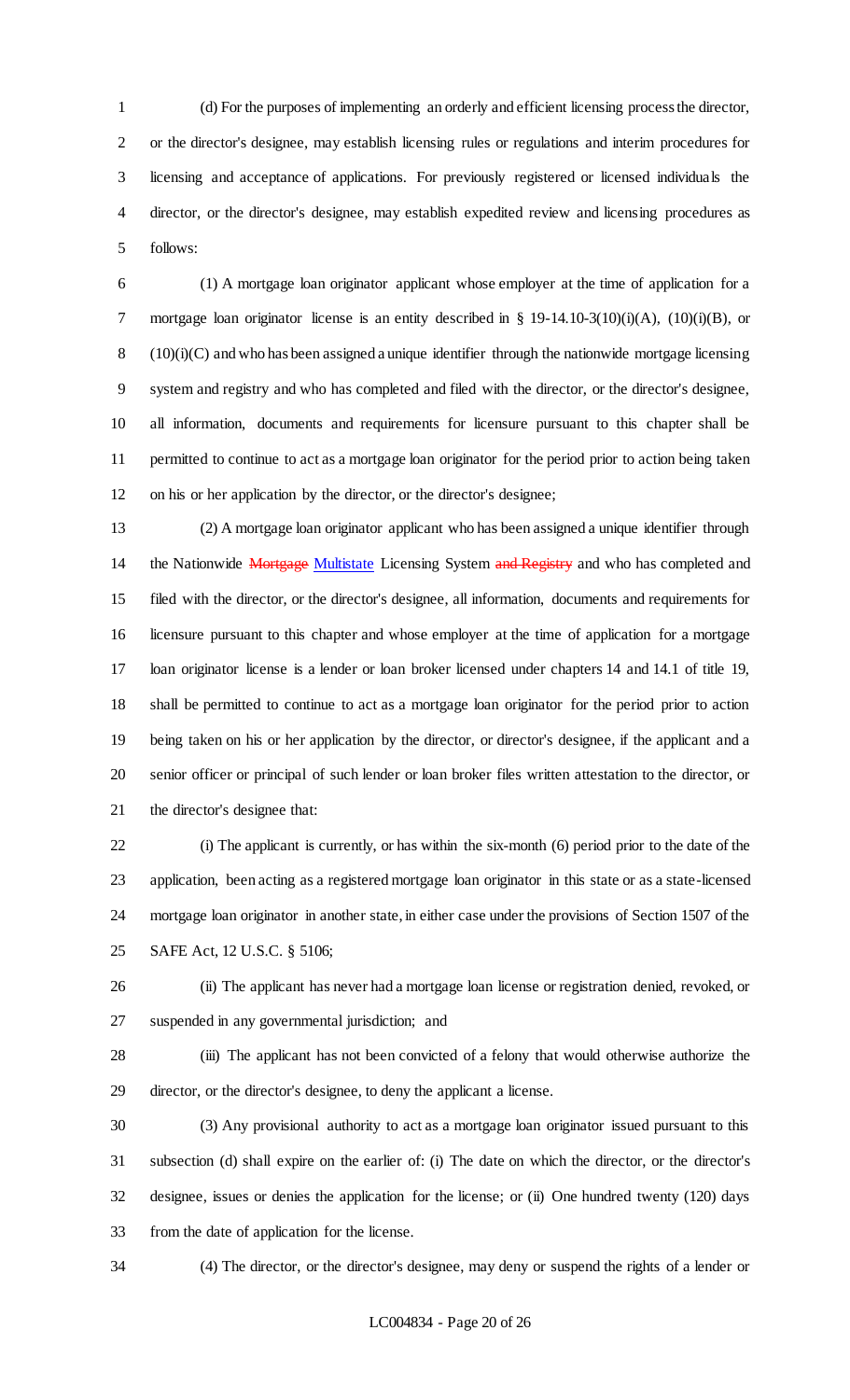(d) For the purposes of implementing an orderly and efficient licensing process the director, or the director's designee, may establish licensing rules or regulations and interim procedures for licensing and acceptance of applications. For previously registered or licensed individuals the director, or the director's designee, may establish expedited review and licensing procedures as follows:

 (1) A mortgage loan originator applicant whose employer at the time of application for a 7 mortgage loan originator license is an entity described in § 19-14.10-3(10)(i)(A), (10)(i)(B), or (10)(i)(C) and who has been assigned a unique identifier through the nationwide mortgage licensing system and registry and who has completed and filed with the director, or the director's designee, all information, documents and requirements for licensure pursuant to this chapter shall be permitted to continue to act as a mortgage loan originator for the period prior to action being taken on his or her application by the director, or the director's designee;

 (2) A mortgage loan originator applicant who has been assigned a unique identifier through 14 the Nationwide Mortgage Multistate Licensing System and Registry and who has completed and filed with the director, or the director's designee, all information, documents and requirements for licensure pursuant to this chapter and whose employer at the time of application for a mortgage loan originator license is a lender or loan broker licensed under chapters 14 and 14.1 of title 19, shall be permitted to continue to act as a mortgage loan originator for the period prior to action being taken on his or her application by the director, or director's designee, if the applicant and a senior officer or principal of such lender or loan broker files written attestation to the director, or the director's designee that:

 (i) The applicant is currently, or has within the six-month (6) period prior to the date of the application, been acting as a registered mortgage loan originator in this state or as a state-licensed mortgage loan originator in another state, in either case under the provisions of Section 1507 of the SAFE Act, 12 U.S.C. § 5106;

 (ii) The applicant has never had a mortgage loan license or registration denied, revoked, or suspended in any governmental jurisdiction; and

 (iii) The applicant has not been convicted of a felony that would otherwise authorize the director, or the director's designee, to deny the applicant a license.

 (3) Any provisional authority to act as a mortgage loan originator issued pursuant to this subsection (d) shall expire on the earlier of: (i) The date on which the director, or the director's designee, issues or denies the application for the license; or (ii) One hundred twenty (120) days from the date of application for the license.

(4) The director, or the director's designee, may deny or suspend the rights of a lender or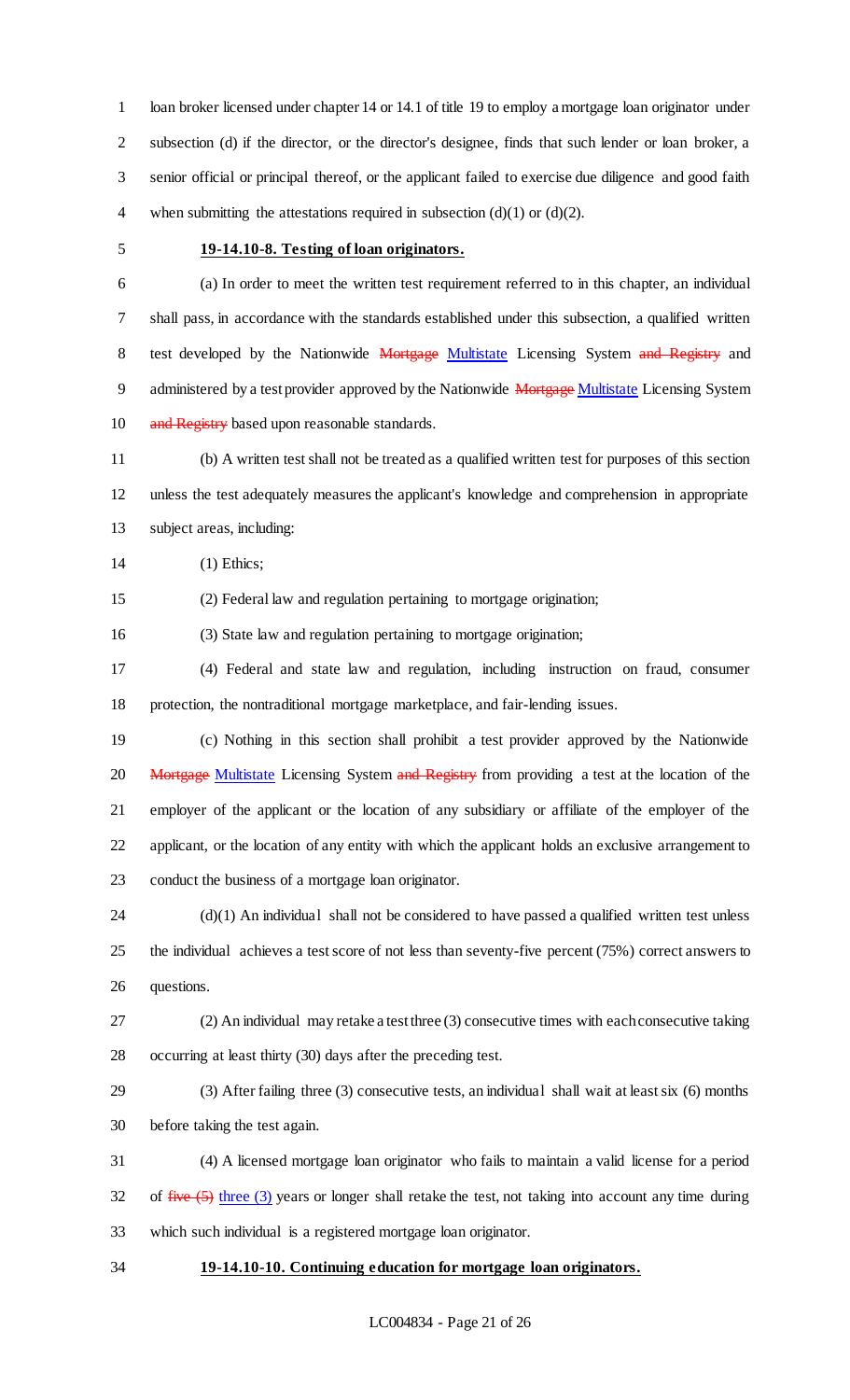1 loan broker licensed under chapter 14 or 14.1 of title 19 to employ a mortgage loan originator under subsection (d) if the director, or the director's designee, finds that such lender or loan broker, a senior official or principal thereof, or the applicant failed to exercise due diligence and good faith 4 when submitting the attestations required in subsection  $(d)(1)$  or  $(d)(2)$ .

### **19-14.10-8. Testing of loan originators.**

 (a) In order to meet the written test requirement referred to in this chapter, an individual shall pass, in accordance with the standards established under this subsection, a qualified written 8 test developed by the Nationwide Mortgage Multistate Licensing System and Registry and 9 administered by a test provider approved by the Nationwide Mortgage Multistate Licensing System 10 and Registry based upon reasonable standards.

 (b) A written test shall not be treated as a qualified written test for purposes of this section unless the test adequately measures the applicant's knowledge and comprehension in appropriate subject areas, including:

(1) Ethics;

(2) Federal law and regulation pertaining to mortgage origination;

(3) State law and regulation pertaining to mortgage origination;

 (4) Federal and state law and regulation, including instruction on fraud, consumer protection, the nontraditional mortgage marketplace, and fair-lending issues.

 (c) Nothing in this section shall prohibit a test provider approved by the Nationwide 20 Mortgage Multistate Licensing System and Registry from providing a test at the location of the employer of the applicant or the location of any subsidiary or affiliate of the employer of the applicant, or the location of any entity with which the applicant holds an exclusive arrangement to conduct the business of a mortgage loan originator.

 (d)(1) An individual shall not be considered to have passed a qualified written test unless the individual achieves a test score of not less than seventy-five percent (75%) correct answers to questions.

 (2) An individual may retake a test three (3) consecutive times with each consecutive taking occurring at least thirty (30) days after the preceding test.

 (3) After failing three (3) consecutive tests, an individual shall wait at least six (6) months before taking the test again.

 (4) A licensed mortgage loan originator who fails to maintain a valid license for a period of  $five(5)$  three (3) years or longer shall retake the test, not taking into account any time during which such individual is a registered mortgage loan originator.

**19-14.10-10. Continuing education for mortgage loan originators.**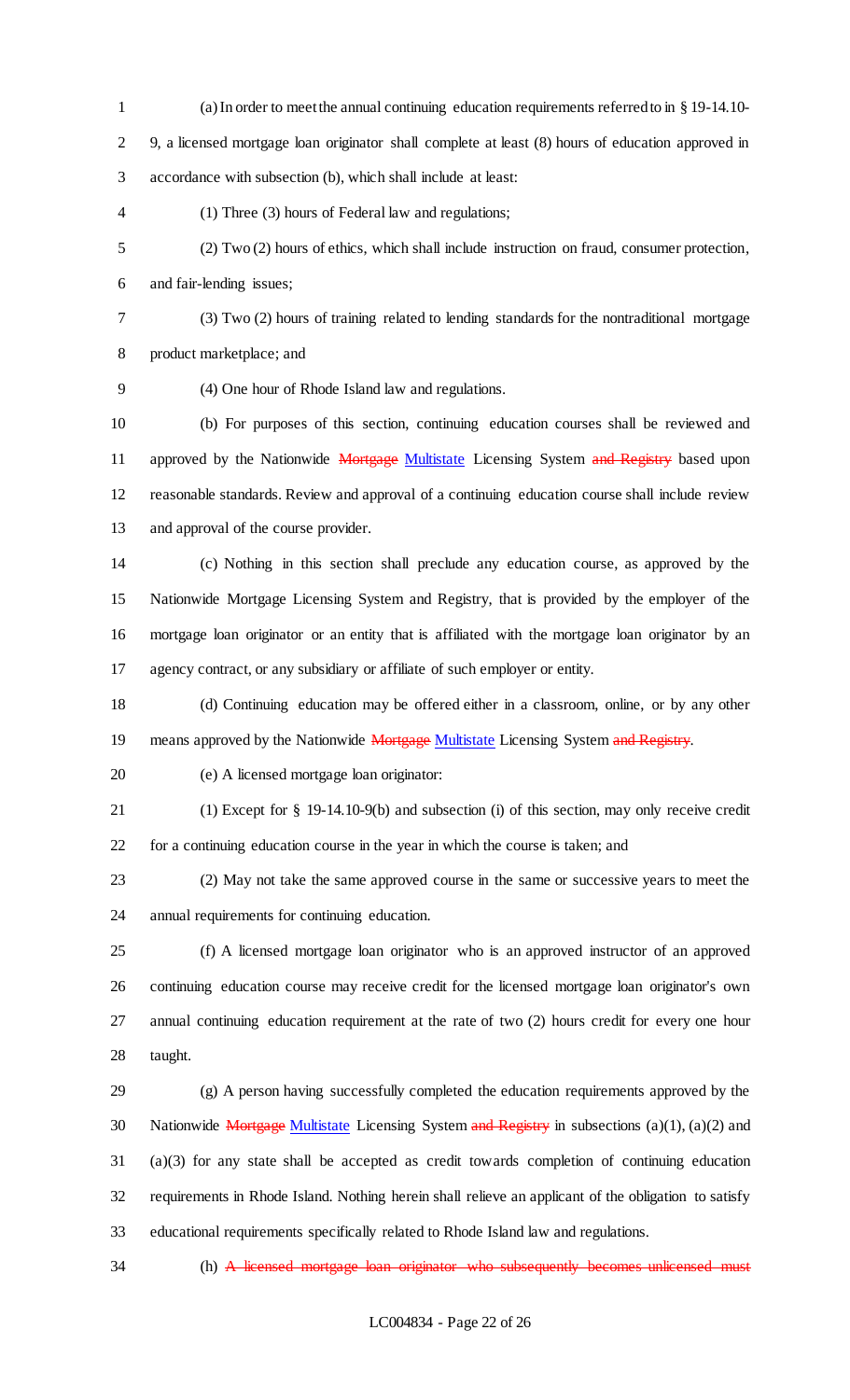- (a) In order to meet the annual continuing education requirements referred to in § 19-14.10- 9, a licensed mortgage loan originator shall complete at least (8) hours of education approved in accordance with subsection (b), which shall include at least:
- (1) Three (3) hours of Federal law and regulations;
- (2) Two (2) hours of ethics, which shall include instruction on fraud, consumer protection, and fair-lending issues;
- 
- (3) Two (2) hours of training related to lending standards for the nontraditional mortgage product marketplace; and

(4) One hour of Rhode Island law and regulations.

 (b) For purposes of this section, continuing education courses shall be reviewed and 11 approved by the Nationwide Mortgage Multistate Licensing System and Registry based upon reasonable standards. Review and approval of a continuing education course shall include review and approval of the course provider.

 (c) Nothing in this section shall preclude any education course, as approved by the Nationwide Mortgage Licensing System and Registry, that is provided by the employer of the mortgage loan originator or an entity that is affiliated with the mortgage loan originator by an agency contract, or any subsidiary or affiliate of such employer or entity.

 (d) Continuing education may be offered either in a classroom, online, or by any other 19 means approved by the Nationwide **Mortgage Multistate** Licensing System and Registry.

(e) A licensed mortgage loan originator:

(1) Except for § 19-14.10-9(b) and subsection (i) of this section, may only receive credit

for a continuing education course in the year in which the course is taken; and

 (2) May not take the same approved course in the same or successive years to meet the annual requirements for continuing education.

 (f) A licensed mortgage loan originator who is an approved instructor of an approved continuing education course may receive credit for the licensed mortgage loan originator's own annual continuing education requirement at the rate of two (2) hours credit for every one hour taught.

 (g) A person having successfully completed the education requirements approved by the 30 Nationwide Mortgage Multistate Licensing System and Registry in subsections  $(a)(1)$ ,  $(a)(2)$  and (a)(3) for any state shall be accepted as credit towards completion of continuing education requirements in Rhode Island. Nothing herein shall relieve an applicant of the obligation to satisfy educational requirements specifically related to Rhode Island law and regulations.

34 (h) A licensed mortgage loan originator who subsequently becomes unlicensed must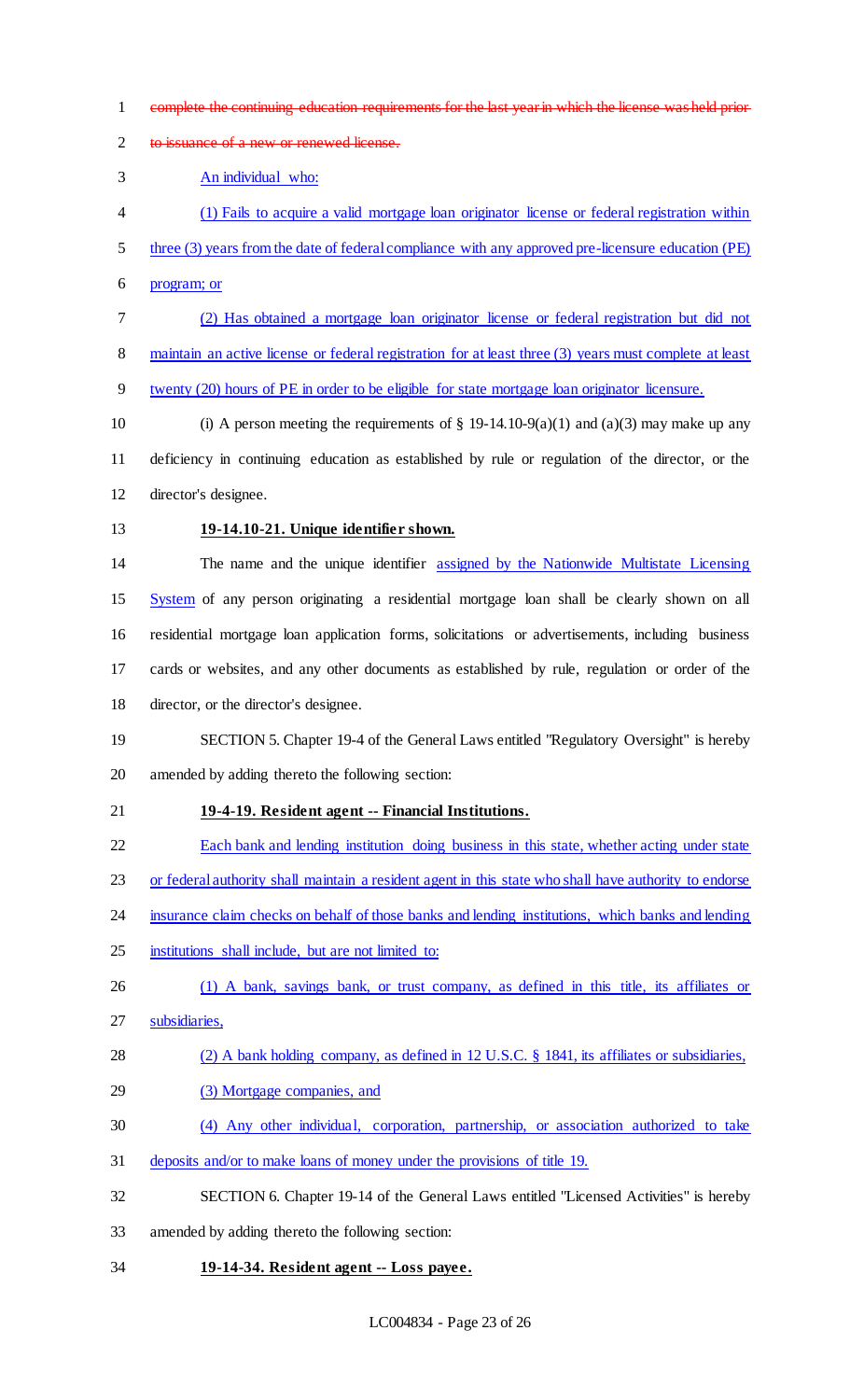- complete the continuing education requirements for the last year in which the license was held prior
- 2 to issuance of a new or renewed license.

An individual who:

- (1) Fails to acquire a valid mortgage loan originator license or federal registration within
- 5 three (3) years from the date of federal compliance with any approved pre-licensure education (PE)
- program; or
- (2) Has obtained a mortgage loan originator license or federal registration but did not
- maintain an active license or federal registration for at least three (3) years must complete at least
- twenty (20) hours of PE in order to be eligible for state mortgage loan originator licensure.
- 10 (i) A person meeting the requirements of  $\S$  19-14.10-9(a)(1) and (a)(3) may make up any deficiency in continuing education as established by rule or regulation of the director, or the director's designee.
- 

### **19-14.10-21. Unique identifier shown.**

 The name and the unique identifier assigned by the Nationwide Multistate Licensing 15 System of any person originating a residential mortgage loan shall be clearly shown on all residential mortgage loan application forms, solicitations or advertisements, including business cards or websites, and any other documents as established by rule, regulation or order of the

director, or the director's designee.

# SECTION 5. Chapter 19-4 of the General Laws entitled "Regulatory Oversight" is hereby amended by adding thereto the following section:

### **19-4-19. Resident agent -- Financial Institutions.**

- Each bank and lending institution doing business in this state, whether acting under state
- 23 or federal authority shall maintain a resident agent in this state who shall have authority to endorse
- 24 insurance claim checks on behalf of those banks and lending institutions, which banks and lending
- 25 institutions shall include, but are not limited to:
- 26 (1) A bank, savings bank, or trust company, as defined in this title, its affiliates or
- subsidiaries,
- (2) A bank holding company, as defined in 12 U.S.C. § 1841, its affiliates or subsidiaries,
- (3) Mortgage companies, and
- (4) Any other individual, corporation, partnership, or association authorized to take
- deposits and/or to make loans of money under the provisions of title 19.
- SECTION 6. Chapter 19-14 of the General Laws entitled "Licensed Activities" is hereby
- amended by adding thereto the following section:
- **19-14-34. Resident agent -- Loss payee.**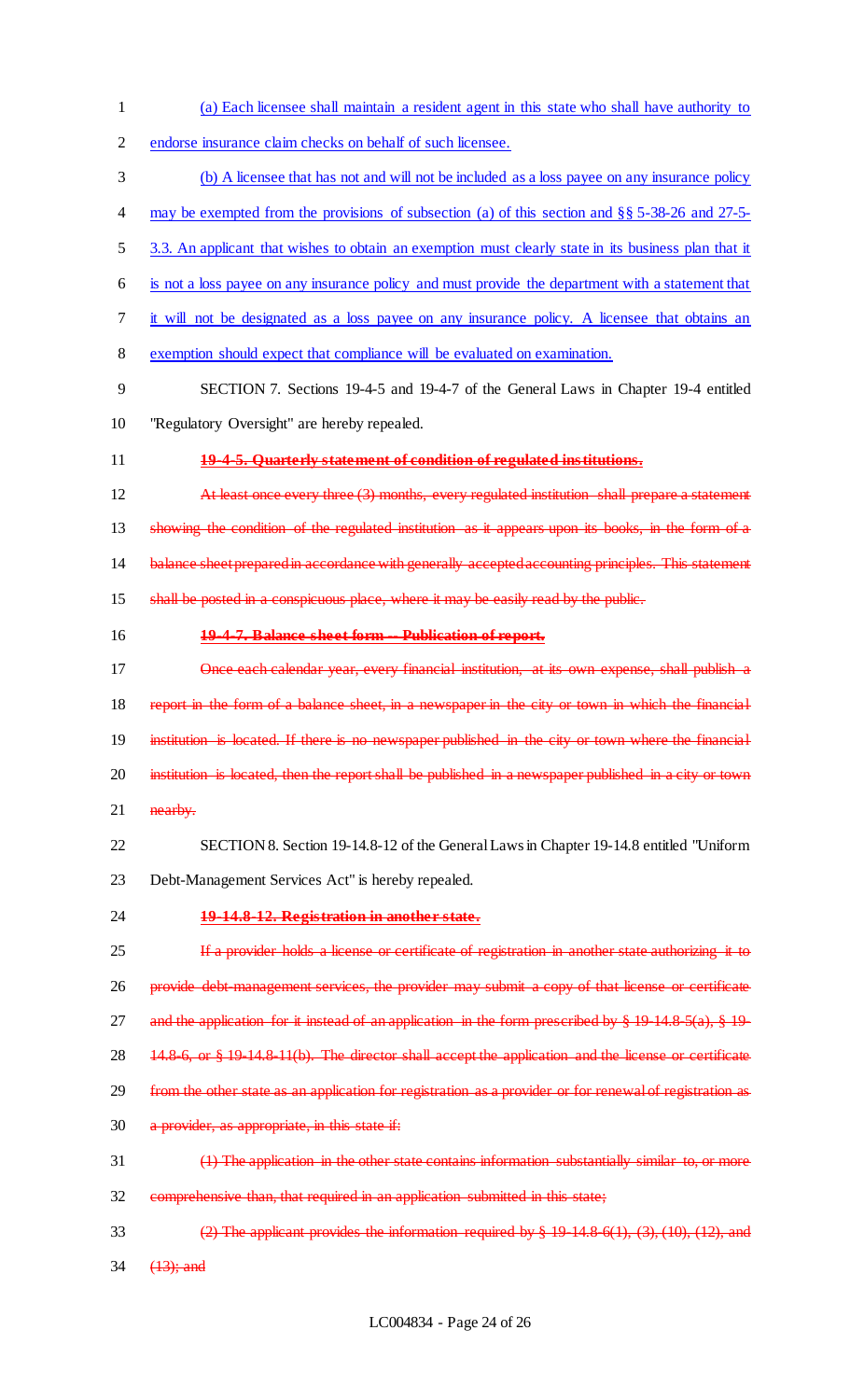- 1 (a) Each licensee shall maintain a resident agent in this state who shall have authority to
- 2 endorse insurance claim checks on behalf of such licensee.
- 3 (b) A licensee that has not and will not be included as a loss payee on any insurance policy
- 4 may be exempted from the provisions of subsection (a) of this section and §§ 5-38-26 and 27-5-
- 5 3.3. An applicant that wishes to obtain an exemption must clearly state in its business plan that it
- 6 is not a loss payee on any insurance policy and must provide the department with a statement that
- 7 it will not be designated as a loss payee on any insurance policy. A licensee that obtains an
- 8 exemption should expect that compliance will be evaluated on examination.
- 9 SECTION 7. Sections 19-4-5 and 19-4-7 of the General Laws in Chapter 19-4 entitled 10 "Regulatory Oversight" are hereby repealed.
- 11 **19-4-5. Quarterly statement of condition of regulated institutions.**
- 12 At least once every three (3) months, every regulated institution shall prepare a statement 13 showing the condition of the regulated institution as it appears upon its books, in the form of a 14 balance sheet prepared in accordance with generally accepted accounting principles. This statement 15 shall be posted in a conspicuous place, where it may be easily read by the public.
- 

### 16 **19-4-7. Balance sheet form -- Publication of report.**

- 17 Once each calendar year, every financial institution, at its own expense, shall publish a 18 report in the form of a balance sheet, in a newspaper in the city or town in which the financial 19 institution is located. If there is no newspaper published in the city or town where the financial 20 institution is located, then the report shall be published in a newspaper published in a city or town 21 **nearby.**
- 22 SECTION 8. Section 19-14.8-12 of the General Laws in Chapter 19-14.8 entitled "Uniform 23 Debt-Management Services Act" is hereby repealed.
- 

### 24 **19-14.8-12. Registration in another state.**

- 25 If a provider holds a license or certificate of registration in another state authorizing it to 26 provide debt-management services, the provider may submit a copy of that license or certificate 27 and the application for it instead of an application in the form prescribed by  $§$  19 14.8-5(a),  $§$  19-28 14.8-6, or § 19-14.8-11(b). The director shall accept the application and the license or certificate 29 from the other state as an application for registration as a provider or for renewal of registration as 30 a provider, as appropriate, in this state if: 31 (1) The application in the other state contains information substantially similar to, or more 32 comprehensive than, that required in an application submitted in this state;
- 33 (2) The applicant provides the information required by  $\S 19\ 14.8\ 6(1), (3), (10), (12),$  and 34 (13); and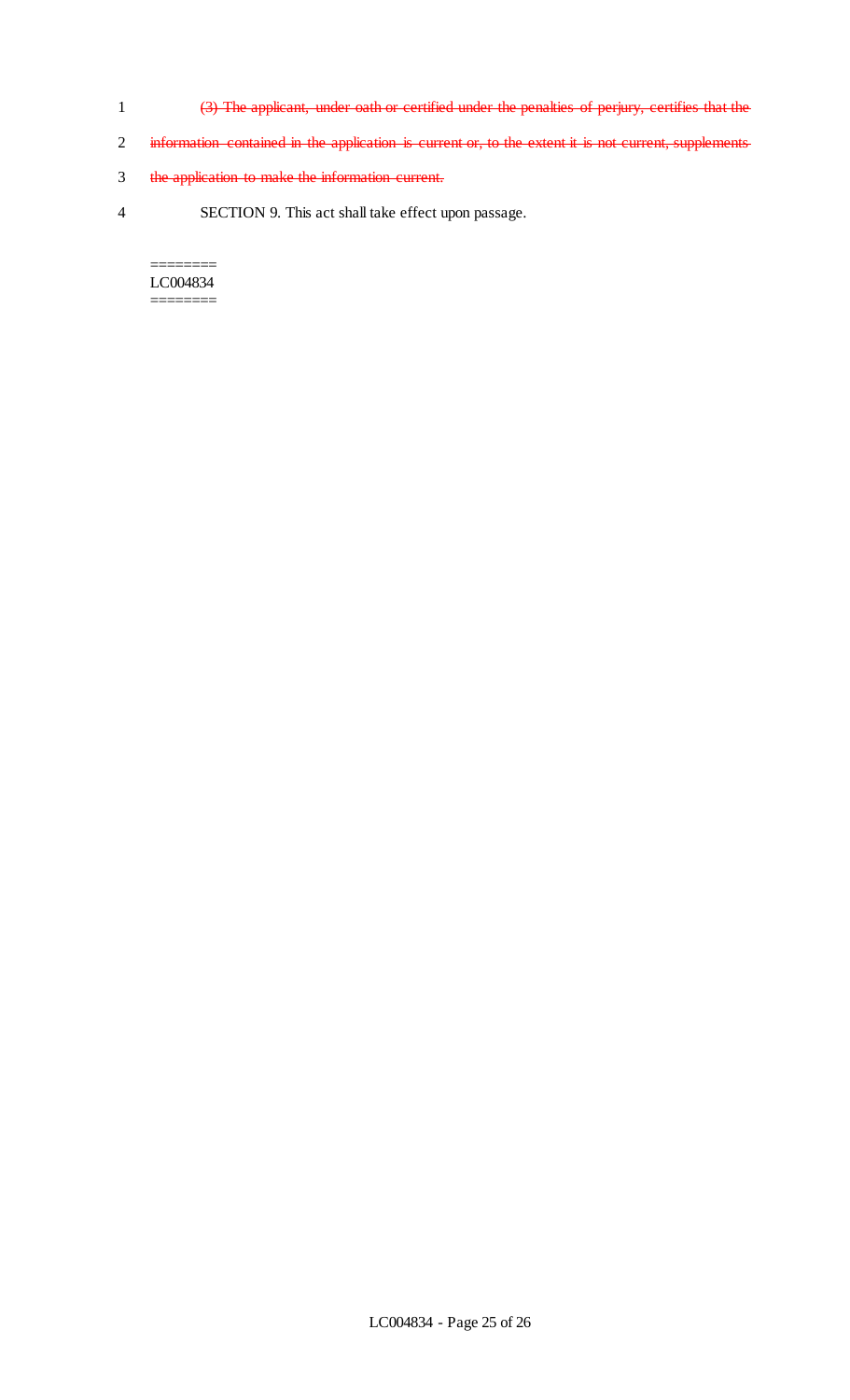- 1 (3) The applicant, under oath or certified under the penalties of perjury, certifies that the
- 2 information contained in the application is current or, to the extent it is not current, supplements
- 3 the application to make the information current.
- 4 SECTION 9. This act shall take effect upon passage.

======== LC004834 ========